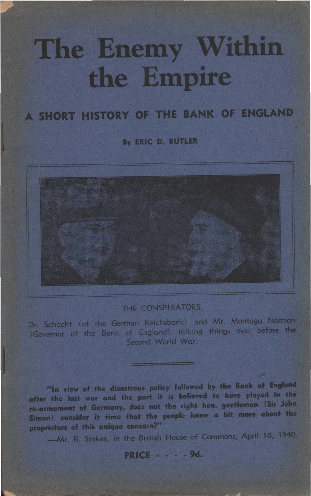# The Enemy Within the Empire

## A SHORT HISTORY OF THE BANK OF ENGLAND

By ERIC D. BUTLER



(Governor of the Bank of England) talking things over before the Second World War.

"In view of the disastrous policy followed by the Bank of England after the last war and the part it is believed to have played in the re-armament of Germany, does not the right hon. gentleman (Sir John Simon) consider it time that the people knew a bit more about the proprietors of this unique concern?"

-Mr. R. Stokes, in the British House of Commons, April 16, 1940.

PRICE - - - 9d.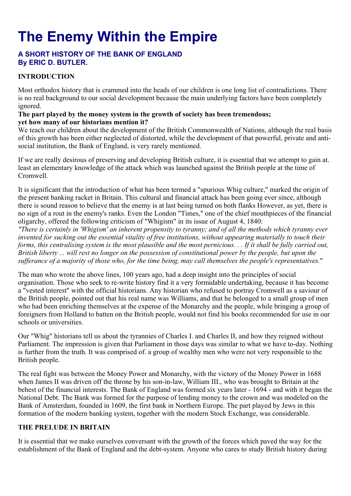### **The Enemy Within the Empire**

#### **A SHORT HISTORY OF THE BANK OF ENGLAND By ERIC D. BUTLER.**

#### **INTRODUCTION**

Most orthodox history that is crammed into the heads of our children is one long list of contradictions. There is no real background to our social development because the main underlying factors have been completely ignored.

#### **The part played by the money system in the growth of society has been tremendous; yet how many of our historians mention it?**

We teach our children about the development of the British Commonwealth of Nations, although the real basis of this growth has been either neglected of distorted, while the development of that powerful, private and antisocial institution, the Bank of England, is very rarely mentioned.

If we are really desirous of preserving and developing British culture, it is essential that we attempt to gain at. least an elementary knowledge of the attack which was launched against the British people at the time of Cromwell.

It is significant that the introduction of what has been termed a "spurious Whig culture," marked the origin of the present banking racket in Britain. This cultural and financial attack has been going ever since, although there is sound reason to believe that the enemy is at last being turned on both flanks However, as yet, there is no sign of a rout in the enemy's ranks. Even the London "Times," one of the chief mouthpieces of the financial oligarchy, offered the following criticism of "Whigism" in its issue of August 4, 1840:

*"There is certainly in 'Whigism' an inherent propensity to tyranny; and of all the methods which tyranny ever invented for sucking out the essential vitality of free institutions, without appearing materially to touch their forms, this centralising system is the most plausible and the most pernicious. . . If it shall be fully carried out, British liberty ... will rest no longer on the possession of constitutional power by the people, but upon the sufferance of a majority of those who, for the time being, may call themselves the people's representatives.*"

The man who wrote the above lines, 100 years ago, had a deep insight into the principles of social organisation. Those who seek to re-write history find it a very formidable undertaking, because it has become a "vested interest" with the official historians. Any historian who refused to portray Cromwell as a saviour of the British people, pointed out that his real name was Williams, and that he belonged to a small group of men who had been enriching themselves at the expense of the Monarchy and the people, while bringing a group of foreigners from Holland to batten on the British people, would not find his books recommended for use in our schools or universities.

Our "Whig" historians tell us about the tyrannies of Charles I. and Charles II, and how they reigned without Parliament. The impression is given that Parliament in those days was similar to what we have to-day. Nothing is further from the truth. It was comprised of. a group of wealthy men who were not very responsible to the British people.

The real fight was between the Money Power and Monarchy, with the victory of the Money Power in 1688 when James II was driven off the throne by his son-in-law, William III., who was brought to Britain at the behest of the financial interests. The Bank of England was formed six years later - 1694 - and with it began the National Debt. The Bank was formed for the purpose of lending money to the crown and was modeled on the Bank of Amsterdam, founded in 1609, the first bank in Northern Europe. The part played by Jews in this formation of the modern banking system, together with the modern Stock Exchange, was considerable.

#### **THE PRELUDE IN BRITAIN**

It is essential that we make ourselves conversant with the growth of the forces which paved the way for the establishment of the Bank of England and the debt-system. Anyone who cares to study British history during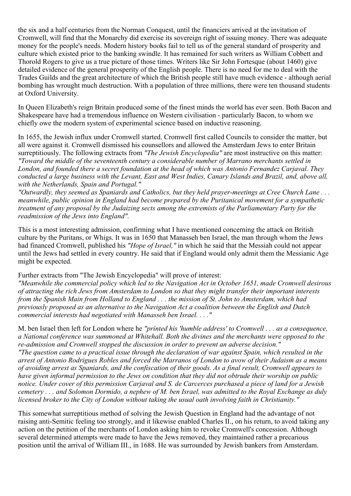the six and a half centuries from the Norman Conquest, until the financiers arrived at the invitation of Cromwell, will find that the Monarchy did exercise its sovereign right of issuing money. There was adequate money for the people's needs. Modern history books fail to tell us of the general standard of prosperity and culture which existed prior to the banking swindle. It has remained for such writers as William Cobbett and Thorold Rogers to give us a true picture of those times. Writers like Sir John Fortesque (about 1460) give detailed evidence of the general prosperity of the English people. There is no need for me to deal with the Trades Guilds and the great architecture of which the British people still have much evidence - although aerial bombing has wrought much destruction. With a population of three millions, there were ten thousand students at Oxford University.

In Queen Elizabeth's reign Britain produced some of the finest minds the world has ever seen. Both Bacon and Shakespeare have had a tremendous influence on Western civilisation - particularly Bacon, to whom we chiefly owe the modern system of experimental science based on inductive reasoning.

In 1655, the Jewish influx under Cromwell started. Cromwell first called Councils to consider the matter, but all were against it. Cromwell dismissed his counsellors and allowed the Amsterdam Jews to enter Britain surreptitiously. The following extracts from *"The Jewish Encyclopedia"* are most instructive on this matter: *"Toward the middle of the seventeenth century a considerable number of Marrano merchants settled in London, and founded there a secret foundation at the head of which was Antonio Fernandez Carjaval. They conducted a large business with the Levant, East and West Indies, Canary Islands and Brazil, and, above all, with the Netherlands, Spain and Portugal."* 

*"Outwardly, they seemed as Spaniards and Catholics, but they held prayer-meetings at Cree Church Lane . . . meanwhile, public opinion in England had become prepared by the Puritanical movement for a sympathetic treatment of any proposal by the Judaizing sects among the extremists of the Parliamentary Party for the readmission of the Jews into England".*

This is a most interesting admission, confirming what I have mentioned concerning the attack on British culture by the Puritans, or Whigs. It was in 1650 that Manasseh ben Israel, the man through whom the Jews had financed Cromwell, published his *"Hope of Israel,"* in which he said that the Messiah could not appear until the Jews had settled in every country. He said that if England would only admit them the Messianic Age might be expected.

Further extracts from "The Jewish Encyclopedia" will prove of interest:

*"Meanwhile the commercial policy which led to the Navigation Act in October 1651, made Cromwell desirous of attracting the rich Jews from Amsterdam to London so that they might transfer their important interests from the Spanish Main from Holland to England . . . the mission of St. John to Amsterdam, which had previously proposed as an alternative to the Navigation Act a coalition between the English and Dutch commercial interests had negotiated with Manasseh ben Israel. . . ."*

M. ben Israel then left for London where he *"printed his 'humble address' to Cromwell . . . as a consequence, a National conference was summoned at Whitehall. Both the divines and the merchants were opposed to the re-admission and Cromwell stopped the discussion in order to prevent an adverse decision." "The question came to a practical issue through the declaration of war against Spain, which resulted in the arrest of Antonio Rodrigues Robles and forced the Marranos of London to avow of their Judaism as a means of avoiding arrest as Spaniards, and the confiscation of their goods. As a final result, Cromwell appears to have given informal permission to the Jews on condition that they did not obtrude their worship on public notice. Under cover of this permission Carjaval and S. de Carcerces purchased a piece of land for a Jewish cemetery . . . and Solomon Dormido, a nephew of M. ben Israel, was admitted to the Royal Exchange as duly licensed broker to the City of London without taking the usual oath involving faith in Christianity."*

This somewhat surreptitious method of solving the Jewish Question in England had the advantage of not raising anti-Semitic feeling too strongly, and it likewise enabled Charles II., on his return, to avoid taking any action on the petition of the merchants of London asking him to revoke Cromwell's concession. Although several determined attempts were made to have the Jews removed, they maintained rather a precarious position until the arrival of William III., in 1688. He was surrounded by Jewish bankers from Amsterdam.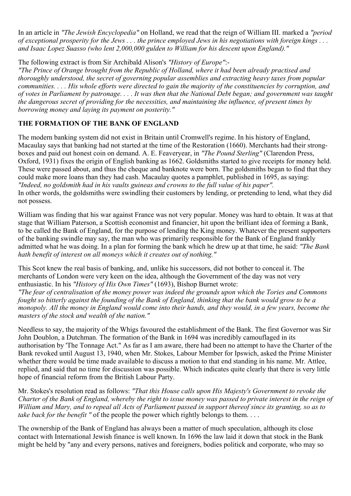In an article in *"The Jewish Encyclopedia"* on Holland, we read that the reign of William III. marked a *"period of exceptional prosperity for the Jews . . . the prince employed Jews in his negotiations with foreign kings . . . and Isaac Lopez Suasso (who lent 2,000,000 gulden to William for his descent upon England)."*

The following extract is from Sir Archibald Alison's *"History of Europe"*:-

*"The Prince of Orange brought from the Republic of Holland, where it had been already practised and thoroughly understood, the secret of governing popular assemblies and extracting heavy taxes from popular communities. . . . His whole efforts were directed to gain the majority of the constituencies by corruption, and of votes in Parliament by patronage. . . . It was then that the National Debt began; and government was taught the dangerous secret of providing for the necessities, and maintaining the influence, of present times by borrowing money and laying its payment on posterity."*

#### **THE FORMATION OF THE BANK OF ENGLAND**

The modern banking system did not exist in Britain until Cromwell's regime. In his history of England, Macaulay says that banking had not started at the time of the Restoration (1660). Merchants had their strongboxes and paid out honest coin on demand. A. E. Feaveryear, in *"The Pound Sterling"* (Clarendon Press, Oxford, 1931) fixes the origin of English banking as 1662. Goldsmiths started to give receipts for money held. These were passed about, and thus the cheque and banknote were born. The goldsmiths began to find that they could make more loans than they had cash. Macaulay quotes a pamphlet, published in 1695, as saying: *"Indeed, no goldsmith had in his vaults guineas and crowns to the full value of his paper".* In other words, the goldsmiths were swindling their customers by lending, or pretending to lend, what they did not possess.

William was finding that his war against France was not very popular. Money was hard to obtain. It was at that stage that William Paterson, a Scottish economist and financier, hit upon the brilliant idea of forming a Bank, to be called the Bank of England, for the purpose of lending the King money. Whatever the present supporters of the banking swindle may say, the man who was primarily responsible for the Bank of England frankly admitted what he was doing. In a plan for forming the bank which he drew up at that time, he said: *"The Bank hath benefit of interest on all moneys which it creates out of nothing."*

This Scot knew the real basis of banking, and, unlike his successors, did not bother to conceal it. The merchants of London were very keen on the idea, although the Government of the day was not very enthusiastic. In his *"History of His Own Times"* (1693), Bishop Burnet wrote:

*"The fear of centralisation of the money power was indeed the grounds upon which the Tories and Commons fought so bitterly against the founding of the Bank of England, thinking that the bank would grow to be a monopoly. All the money in England would come into their hands, and they would, in a few years, become the masters of the stock and wealth of the nation."* 

Needless to say, the majority of the Whigs favoured the establishment of the Bank. The first Governor was Sir John Doublon, a Dutchman. The formation of the Bank in 1694 was incredibly camouflaged in its authorisation by 'The Tonnage Act." As far as I am aware, there had been no attempt to have the Charter of the Bank revoked until August 13, 1940, when Mr. Stokes, Labour Member for Ipswich, asked the Prime Minister whether there would be time made available to discuss a motion to that end standing in his name. Mr. Attlee, replied, and said that no time for discussion was possible. Which indicates quite clearly that there is very little hope of financial reform from the British Labour Party.

Mr. Stokes's resolution read as follows: *"That this House calls upon His Majesty's Government to revoke the Charter of the Bank of England, whereby the right to issue money was passed to private interest in the reign of William and Mary, and to repeal all Acts of Parliament passed in support thereof since its granting, so as to take back for the benefit* " of the people the power which rightly belongs to them. . . .

The ownership of the Bank of England has always been a matter of much speculation, although its close contact with International Jewish finance is well known. In 1696 the law laid it down that stock in the Bank might be held by "any and every persons, natives and foreigners, bodies politick and corporate, who may so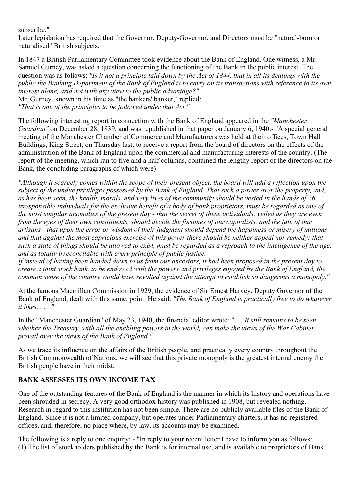subscribe."

Later legislation has required that the Governor, Deputy-Governor, and Directors must be "natural-born or naturalised" British subjects.

In 1847 a British Parliamentary Committee took evidence about the Bank of England. One witness, a Mr. Samuel Gurney, was asked a question concerning the functioning of the Bank in the public interest. The question was as follows: *"Is it not a principle laid down by the Act of 1844, that in all its dealings with the public the Banking Department of the Bank of England is to carry on its transactions with reference to its own interest alone, arid not with any view to the public advantage?"* Mr. Gurney, known in his time as "the bankers' banker," replied:

*"That is one of the principles to be followed under that Act."* 

The following interesting report in connection with the Bank of England appeared in the *"Manchester Guardian*" on December 28, 1839, and was republished in that paper on January 6, 1940:- "A special general meeting of the Manchester Chamber of Commerce and Manufacturers was held at their offices, Town Hall Buildings, King Street, on Thursday last, to receive a report from the board of directors on the effects of the administration of the Bank of England upon the commercial and manufacturing interests of the country. (The report of the meeting, which ran to five and a half columns, contained the lengthy report of the directors on the Bank, the concluding paragraphs of which were):

*"Although it scarcely comes within the scope of their present object, the board will add a reflection upon the subject of the undue privileges possessed by the Bank of England. That such a power over the property, and, as has been seen, the health, morals, and very lives of the community should be vested in the hands of 26 irresponsible individuals for the exclusive benefit of a body of bank proprietors, must be regarded as one of the most singular anomalies of the present day - that the secret of these individuals, veiled as they are even from the eyes of their own constituents, should decide the fortunes of our capitalists, and the fate of our artisans - that upon the error or wisdom of their judgment should depend the happiness or misery of millions and that against the most capricious exercise of this power there should be neither appeal nor remedy; that such a state of things should be allowed to exist, must be regarded as a reproach to the intelligence of the age, and as totally irreconcilable with every principle of public justice.*

*If instead of having been handed down to us from our ancestors, it had been proposed in the present day to create a joint stock bank, to be endowed with the powers and privileges enjoyed by the Bank of England, the common sense of the country would have revolted against the attempt to establish so dangerous a monopoly."* 

At the famous Macmillan Commission in 1929, the evidence of Sir Ernest Harvey, Deputy Governor of the Bank of England, dealt with this same. point. He said: *"The Bank of England is practically free to do whatever it likes. . . . "*

In the "Manchester Guardian" of May 23, 1940, the financial editor wrote: *". . . It still remains to be seen whether the Treasury, with all the enabling powers in the world, can make the views of the War Cabinet prevail over the views of the Bank of England."*

As we trace its influence on the affairs of the British people, and practically every country throughout the British Commonwealth of Nations, we will see that this private monopoly is the greatest internal enemy the British people have in their midst.

#### **BANK ASSESSES ITS OWN INCOME TAX**

One of the outstanding features of the Bank of England is the manner in which its history and operations have been shrouded in secrecy. A very good orthodox history was published in 1908, but revealed nothing. Research in regard to this institution has not been simple. There are no publicly available files of the Bank of England. Since it is not a limited company, but operates under Parliamentary charters, it has no registered offices, and, therefore, no place where, by law, its accounts may be examined.

The following is a reply to one enquiry: - "In reply to your recent letter I have to inform you as follows: (1) The list of stockholders published by the Bank is for internal use, and is available to proprietors of Bank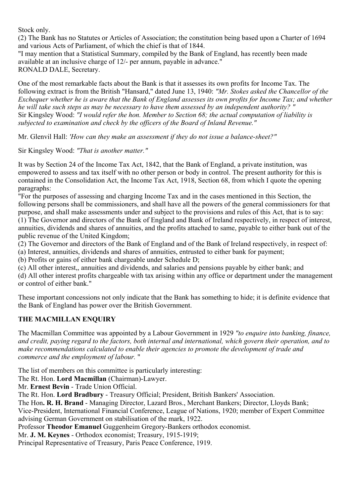Stock only.

(2) The Bank has no Statutes or Articles of Association; the constitution being based upon a Charter of 1694 and various Acts of Parliament, of which the chief is that of 1844.

"I may mention that a Statistical Summary, compiled by the Bank of England, has recently been made available at an inclusive charge of 12/- per annum, payable in advance." RONALD DALE, Secretary.

One of the most remarkable facts about the Bank is that it assesses its own profits for Income Tax. The following extract is from the British "Hansard," dated June 13, 1940: *"Mr. Stokes asked the Chancellor of the Exchequer whether he is aware that the Bank of England assesses its own profits for Income Tax; and whether he will take such steps as may be necessary to have them assessed by an independent authority? "* Sir Kingsley Wood: *"I would refer the hon. Member to Section 68; the actual computation of liability is subjected to examination and check by the officers of the Board of Inland Revenue."*

Mr. Glenvil Hall: *'How can they make an assessment if they do not issue a balance-sheet?"*

Sir Kingsley Wood: *"That is another matter."*

It was by Section 24 of the Income Tax Act, 1842, that the Bank of England, a private institution, was empowered to assess and tax itself with no other person or body in control. The present authority for this is contained in the Consolidation Act, the Income Tax Act, 1918, Section 68, from which I quote the opening paragraphs:

"For the purposes of assessing and charging Income Tax and in the cases mentioned in this Section, the following persons shall be commissioners, and shall have all the powers of the general commissioners for that purpose, and shall make assessments under and subject to the provisions and rules of this Act, that is to say: (1) The Governor and directors of the Bank of England and Bank of Ireland respectively, in respect of interest, annuities, dividends and shares of annuities, and the profits attached to same, payable to either bank out of the public revenue of the United Kingdom;

(2) The Governor and directors of the Bank of England and of the Bank of Ireland respectively, in respect of: (a) Interest, annuities, dividends and shares of annuities, entrusted to either bank for payment;

(b) Profits or gains of either bank chargeable under Schedule D;

(c) All other interest,, annuities and dividends, and salaries and pensions payable by either bank; and

(d) All other interest profits chargeable with tax arising within any office or department under the management or control of either bank."

These important concessions not only indicate that the Bank has something to hide; it is definite evidence that the Bank of England has power over the British Government.

#### **THE MACMILLAN ENQUIRY**

The Macmillan Committee was appointed by a Labour Government in 1929 *"to enquire into banking, finance, and credit, paying regard to the factors, both internal and international, which govern their operation, and to make recommendations calculated to enable their agencies to promote the development of trade and commerce and the employment of labour.* "

The list of members on this committee is particularly interesting:

The Rt. Hon. **Lord Macmillan** (Chairman)-Lawyer.

Mr. **Ernest Bevin** - Trade Union Official.

The Rt. Hon. **Lord Bradbury** - Treasury Official; President, British Bankers' Association.

The Hon**. R. H. Brand** - Managing Director, Lazard Bros., Merchant Bankers; Director, Lloyds Bank; Vice-President, International Financial Conference, League of Nations, 1920; member of Expert Committee advising German Government on stabilisation of the mark, 1922.

Professor **Theodor Emanuel** Guggenheim Gregory-Bankers orthodox economist.

Mr. **J. M. Keynes** - Orthodox economist; Treasury, 1915-1919;

Principal Representative of Treasury, Paris Peace Conference, 1919.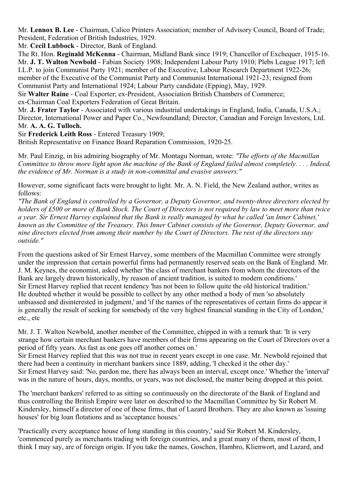Mr. **Lennox B. Lee** - Chairman, Calico Printers Association; member of Advisory Council, Board of Trade; President, Federation of British Industries, 1929.

Mr. **Cecil Lubbock** - Director, Bank of England.

The Rt. Hon. **Reginald McKenna** - Chairman, Midland Bank since 1919; Chancellor of Exchequer, 1915-16. Mr. **J. T. Walton Newbold** - Fabian Society 1908; Independent Labour Party 1910; Plebs League 1917; left I.L.P. to join Communist Party 1921; member of the Executive, Labour Research Department 1922-26; member of the Executive of the Communist Party and Communist International 1921-23; resigned from Communist Party and International 1924; Labour Party candidate (Epping), May, 1929. Sir **Walter Raine** - Coal Exporter; ex-President, Association British Chambers of Commerce;

ex-Chairman Coal Exporters Federation of Great Britain.

Mr. **J. Frater Taylor** - Associated with various industrial undertakings in England, India, Canada, U.S.A.; Director, International Power and Paper Co., Newfoundland; Director, Canadian and Foreign Investors, Ltd. Mr. **A. A. G. Tulloch.**

Sir **Frederick Leith Ross** - Entered Treasury 1909;

British Representative on Finance Board Reparation Commission, 1920-25.

Mr. Paul Einzig, in his admiring biography of Mr. Montagu Norman, wrote: *"The efforts of the Macmillan Committee to throw more light upon the machine of the Bank of England failed almost completely. . . . Indeed, the evidence of Mr. Norman is a study in non-committal and evasive answers."*

However, some significant facts were brought to light. Mr. A. N. Field, the New Zealand author, writes as follows:

*"The Bank of England is controlled by a Governor, a Deputy Governor, and twenty-three directors elected by holders of £500 or more of Bank Stock. The Court of Directors is not required by law to meet more than twice a year. Sir Ernest Harvey explained that the Bank is really managed by what he called 'an Inner Cabinet,' known as the Committee of the Treasury. This Inner Cabinet consists of the Governor, Deputy Governor, and nine directors elected from among their number by the Court of Directors. The rest of the directors stay outside."*

From the questions asked of Sir Ernest Harvey, some members of the Macmillan Committee were strongly under the impression that certain powerful firms had permanently reserved seats on the Bank of England. Mr. J. M. Keynes, the economist, asked whether 'the class of merchant bankers from whom the directors of the Bank are largely drawn historically, by reason of ancient tradition, is suited to modern conditions.' Sir Ernest Harvey replied that recent tendency 'has not been to follow quite the old historical tradition.' He doubted whether it would be possible to collect by any other method a body of men 'so absolutely unbiassed and disinterested in judgment,' and 'if the names of the representatives of certain firms do appear it is generally the result of seeking for somebody of the very highest financial standing in the City of London,' etc., etc

Mr. J. T. Walton Newbold, another member of the Committee, chipped in with a remark that: 'It is very strange how certain merchant bankers have members of their firms appearing on the Court of Directors over a period of fifty years. As fast as one goes off another comes on.'

Sir Ernest Harvey replied that this was not true in recent years except in one case. Mr. Newbold rejoined that there had been a continuity in merchant bankers since 1889, adding, 'I checked it the other day.' Sir Ernest Harvey said: 'No, pardon me, there has always been an interval, except once.' Whether the 'interval' was in the nature of hours, days, months, or years, was not disclosed, the matter being dropped at this point.

The 'merchant bankers' referred to as sitting so continuously on the directorate of the Bank of England and thus controlling the British Empire were later on described to the Macmillan Committee by Sir Robert M. Kindersley, himself a director of one of these firms, that of Lazard Brothers. They are also known as 'issuing houses' for big loan flotations and as 'acceptance houses.'

'Practically every acceptance house of long standing in this country,' said Sir Robert M. Kindersley, 'commenced purely as merchants trading with foreign countries, and a great many of them, most of them, I think I may say, are of foreign origin. If you take the names, Goschen, Hambro, Klienwort, and Lazard, and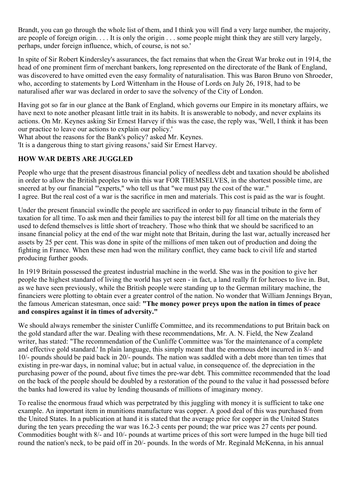Brandt, you can go through the whole list of them, and I think you will find a very large number, the majority, are people of foreign origin. . . . It is only the origin . . . some people might think they are still very largely, perhaps, under foreign influence, which, of course, is not so.'

In spite of Sir Robert Kindersley's assurances, the fact remains that when the Great War broke out in 1914, the head of one prominent firm of merchant bankers, long represented on the directorate of the Bank of England, was discovered to have omitted even the easy formality of naturalisation. This was Baron Bruno von Shroeder, who, according to statements by Lord Wittenham in the House of Lords on July 26, 1918, had to be naturalised after war was declared in order to save the solvency of the City of London.

Having got so far in our glance at the Bank of England, which governs our Empire in its monetary affairs, we have next to note another pleasant little trait in its habits. It is answerable to nobody, and never explains its actions. On Mr. Keynes asking Sir Ernest Harvey if this was the case, the reply was, 'Well, I think it has been our practice to leave our actions to explain our policy.'

What about the reasons for the Bank's policy? asked Mr. Keynes.

'It is a dangerous thing to start giving reasons,' said Sir Ernest Harvey.

#### **HOW WAR DEBTS ARE JUGGLED**

People who urge that the present disastrous financial policy of needless debt and taxation should be abolished in order to allow the British peoples to win this war FOR THEMSELVES, in the shortest possible time, are sneered at by our financial "'experts," who tell us that "we must pay the cost of the war." I agree. But the real cost of a war is the sacrifice in men and materials. This cost is paid as the war is fought.

Under the present financial swindle the people are sacrificed in order to pay financial tribute in the form of taxation for all time. To ask men and their families to pay the interest bill for all time on the materials they used to defend themselves is little short of treachery. Those who think that we should be sacrificed to an insane financial policy at the end of the war might note that Britain, during the last war, actually increased her assets by 25 per cent. This was done in spite of the millions of men taken out of production and doing the fighting in France. When these men had won the military conflict, they came back to civil life and started producing further goods.

In 1919 Britain possessed the greatest industrial machine in the world. She was in the position to give her people the highest standard of living the world has yet seen - in fact, a land really fit for heroes to live in. But, as we have seen previously, while the British people were standing up to the German military machine, the financiers were plotting to obtain ever a greater control of the nation. No wonder that William Jennings Bryan, the famous American statesman, once said: **"The money power preys upon the nation in times of peace and conspires against it in times of adversity."**

We should always remember the sinister Cunliffe Committee, and its recommendations to put Britain back on the gold standard after the war. Dealing with these recommendations, Mr. A. N. Field, the New Zealand writer, has stated: "The recommendation of the Cunliffe Committee was 'for the maintenance of a complete and effective gold standard.' In plain language, this simply meant that the enormous debt incurred in 8/- and 10/- pounds should be paid back in 20/- pounds. The nation was saddled with a debt more than ten times that existing in pre-war days, in nominal value; but in actual value, in consequence of. the depreciation in the purchasing power of the pound, about five times the pre-war debt. This committee recommended that the load on the back of the people should be doubled by a restoration of the pound to the value it had possessed before the banks had lowered its value by lending thousands of millions of imaginary money.

To realise the enormous fraud which was perpetrated by this juggling with money it is sufficient to take one example. An important item in munitions manufacture was copper. A good deal of this was purchased from the United States. In a publication at hand it is stated that the average price for copper in the United States during the ten years preceding the war was 16.2-3 cents per pound; the war price was 27 cents per pound. Commodities bought with 8/- and 10/- pounds at wartime prices of this sort were lumped in the huge bill tied round the nation's neck, to be paid off in 20/- pounds. In the words of Mr. Reginald McKenna, in his annual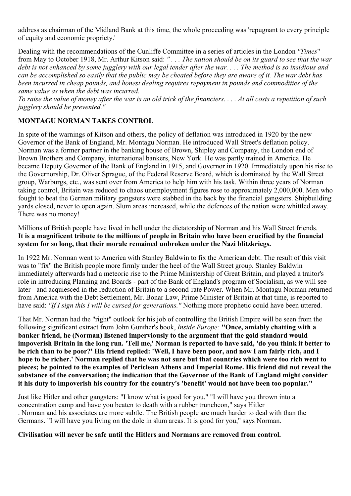address as chairman of the Midland Bank at this time, the whole proceeding was 'repugnant to every principle of equity and economic propriety.'

Dealing with the recommendations of the Cunliffe Committee in a series of articles in the London *"Times*" from May to October 1918, Mr. Arthur Kitson said: *" . . . The nation should be on its guard to see that the war debt is not enhanced by some jugglery with our legal tender after the war. . . . The method is so insidious and can be accomplished so easily that the public may be cheated before they are aware of it. The war debt has been incurred in cheap pounds, and honest dealing requires repayment in pounds and commodities of the same value as when the debt was incurred.*

*To raise the value of money after the war is an old trick of the financiers. . . . At all costs a repetition of such jugglery should be prevented."* 

#### **MONTAGU NORMAN TAKES CONTROL**

In spite of the warnings of Kitson and others, the policy of deflation was introduced in 1920 by the new Governor of the Bank of England, Mr. Montagu Norman. He introduced Wall Street's deflation policy. Norman was a former partner in the banking house of Brown, Shipley and Company, the London end of Brown Brothers and Company, international bankers, New York. He was partly trained in America. He became Deputy Governor of the Bank of England in 1915, and Governor in 1920. Immediately upon his rise to the Governorship, Dr. Oliver Sprague, of the Federal Reserve Board, which is dominated by the Wall Street group, Warburgs, etc., was sent over from America to help him with his task. Within three years of Norman taking control, Britain was reduced to chaos unemployment figures rose to approximately 2,000,000. Men who fought to beat the German military gangsters were stabbed in the back by the financial gangsters. Shipbuilding yards closed, never to open again. Slum areas increased, while the defences of the nation were whittled away. There was no money!

Millions of British people have lived in hell under the dictatorship of Norman and his Wall Street friends. **It is a magnificent tribute to the millions of people in Britain who have been crucified by the financial system for so long, that their morale remained unbroken under the Nazi blitzkriegs.**

In 1922 Mr. Norman went to America with Stanley Baldwin to fix the American debt. The result of this visit was to "fix" the British people more firmly under the heel of the Wall Street group. Stanley Baldwin immediately afterwards had a meteoric rise to the Prime Ministership of Great Britain, and played a traitor's role in introducing Planning and Boards - part of the Bank of England's program of Socialism, as we will see later - and acquiesced in the reduction of Britain to a second-rate Power. When Mr. Montagu Norman returned from America with the Debt Settlement, Mr. Bonar Law, Prime Minister of Britain at that time, is reported to have said: *"If I sign this I will be cursed for generations."* Nothing more prophetic could have been uttered.

That Mr. Norman had the "right" outlook for his job of controlling the British Empire will be seen from the following significant extract from John Gunther's book, *Inside Europe:* **"Once, amiably chatting with a banker friend, he (Norman) listened imperviously to the argument that the gold standard would impoverish Britain in the long run. 'Tell me,' Norman is reported to have said, 'do you think it better to be rich than to be poor?' His friend replied: 'Well, I have been poor, and now I am fairly rich, and I hope to be richer.' Norman replied that he was not sure but that countries which were too rich went to pieces; he pointed to the examples of Periclean Athens and Imperial Rome. His friend did not reveal the substance of the conversation; the indication that the Governor of the Bank of England might consider it his duty to impoverish his country for the country's 'benefit' would not have been too popular."**

Just like Hitler and other gangsters: "I know what is good for you." "I will have you thrown into a concentration camp and have you beaten to death with a rubber truncheon," says Hitler . Norman and his associates are more subtle. The British people are much harder to deal with than the Germans. "I will have you living on the dole in slum areas. It is good for you," says Norman.

#### **Civilisation will never be safe until the Hitlers and Normans are removed from control.**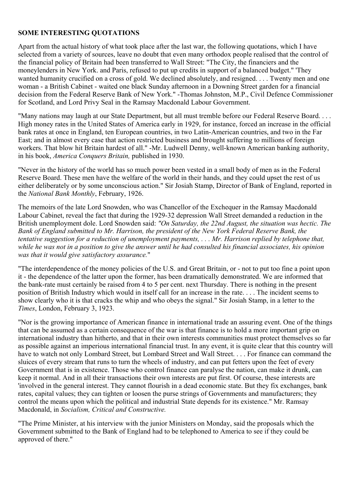#### **SOME INTERESTING QUOTATIONS**

Apart from the actual history of what took place after the last war, the following quotations, which I have selected from a variety of sources, leave no doubt that even many orthodox people realised that the control of the financial policy of Britain had been transferred to Wall Street: "The City, the financiers and the moneylenders in New York. and Paris, refused to put up credits in support of a balanced budget." 'They wanted humanity crucified on a cross of gold. We declined absolutely, and resigned. . . . Twenty men and one woman - a British Cabinet - waited one black Sunday afternoon in a Downing Street garden for a financial decision from the Federal Reserve Bank of New York." -Thomas Johnston, M.P., Civil Defence Commissioner for Scotland, and Lord Privy Seal in the Ramsay Macdonald Labour Government.

"Many nations may laugh at our State Department, but all must tremble before our Federal Reserve Board. . . . High money rates in the United States of America early in 1929, for instance, forced an increase in the official bank rates at once in England, ten European countries, in two Latin-American countries, and two in the Far East; and in almost every case that action restricted business and brought suffering to millions of foreign workers. That blow hit Britain hardest of all." -Mr. Ludwell Denny, well-known American banking authority, in his book, *America Conquers Britain,* published in 1930.

"Never in the history of the world has so much power been vested in a small body of men as in the Federal Reserve Board. These men have the welfare of the world in their hands, and they could upset the rest of us either deliberately or by some unconscious action." Sir Josiah Stamp, Director of Bank of England, reported in the *National Bank Monthly*, February, 1926.

The memoirs of the late Lord Snowden, who was Chancellor of the Exchequer in the Ramsay Macdonald Labour Cabinet, reveal the fact that during the 1929-32 depression Wall Street demanded a reduction in the British unemployment dole. Lord Snowden said: *"On Saturday, the 22nd August, the situation was hectic. The Bank of England submitted to Mr. Harrison, the president of the New York Federal Reserve Bank, the tentative suggestion for a reduction of unemployment payments, . . . Mr. Harrison replied by telephone that, while he was not in a position to give the answer until he had consulted his financial associates, his opinion was that it would give satisfactory assurance.*"

"The interdependence of the money policies of the U.S. and Great Britain, or - not to put too fine a point upon it - the dependence of the latter upon the former, has been dramatically demonstrated. We are informed that the bank-rate must certainly be raised from 4 to 5 per cent. next Thursday. There is nothing in the present position of British Industry which would in itself call for an increase in the rate. . . . The incident seems to show clearly who it is that cracks the whip and who obeys the signal." Sir Josiah Stamp, in a letter to the *Times*, London, February 3, 1923.

"Nor is the growing importance of American finance in international trade an assuring event. One of the things that can be assumed as a certain consequence of the war is that finance is to hold a more important grip on international industry than hitherto, and that in their own interests communities must protect themselves so far as possible against an imperious international financial trust. In any event, it is quite clear that this country will have to watch not only Lombard Street, but Lombard Street and Wall Street. . . . For finance can command the sluices of every stream that runs to turn the wheels of industry, and can put fetters upon the feet of every Government that is in existence. Those who control finance can paralyse the nation, can make it drunk, can keep it normal. And in all their transactions their own interests are put first. Of course, these interests are 'involved in the general interest. They cannot flourish in a dead economic state. But they fix exchanges, bank rates, capital values; they can tighten or loosen the purse strings of Governments and manufacturers; they control the means upon which the political and industrial State depends for its existence." Mr. Ramsay Macdonald, in *Socialism, Critical and Constructive.*

"The Prime Minister, at his interview with the junior Ministers on Monday, said the proposals which the Government submitted to the Bank of England had to be telephoned to America to see if they could be approved of there."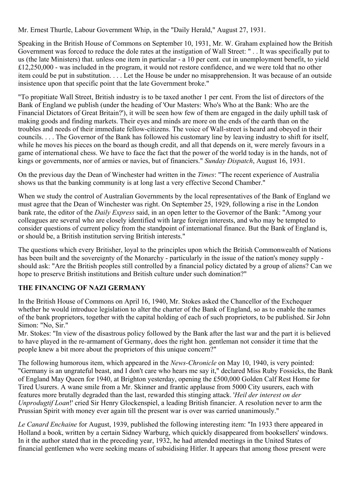Mr. Ernest Thurtle, Labour Government Whip, in the "Daily Herald," August 27, 1931.

Speaking in the British House of Commons on September 10, 1931, Mr. W. Graham explained how the British Government was forced to reduce the dole rates at the instigation of Wall Street: " . . It was specifically put to us (the late Ministers) that. unless one item in particular - a 10 per cent. cut in unemployment benefit, to yield £12,250,000 - was included in the program, it would not restore confidence, and we were told that no other item could be put in substitution. . . . Let the House be under no misapprehension. It was because of an outside insistence upon that specific point that the late Government broke."

"To propitiate Wall Street, British industry is to be taxed another 1 per cent. From the list of directors of the Bank of England we publish (under the heading of 'Our Masters: Who's Who at the Bank: Who are the Financial Dictators of Great Britain?'), it will be seen how few of them are engaged in the daily uphill task of making goods and finding markets. Their eyes and minds are more on the ends of the earth than on the troubles and needs of their immediate fellow-citizens. The voice of Wall-street is heard and obeyed in their councils. . . . The Governor of the Bank has followed his customary line by leaving industry to shift for itself, while he moves his pieces on the board as though credit, and all that depends on it, were merely favours in a game of international chess. We have to face the fact that the power of the world today is in the hands, not of kings or governments, nor of armies or navies, but of financiers." *Sunday Dispatch*, August 16, 1931.

On the previous day the Dean of Winchester had written in the *Times*: "The recent experience of Australia shows us that the banking community is at long last a very effective Second Chamber."

When we study the control of Australian Governments by the local representatives of the Bank of England we must agree that the Dean of Winchester was right. On September 25, 1929, following a rise in the London bank rate, the editor of the *Daily Express* said, in an open letter to the Governor of the Bank: "Among your colleagues are several who are closely identified with large foreign interests, and who may be tempted to consider questions of current policy from the standpoint of international finance. But the Bank of England is, or should be, a British institution serving British interests."

The questions which every Britisher, loyal to the principles upon which the British Commonwealth of Nations has been built and the sovereignty of the Monarchy - particularly in the issue of the nation's money supply should ask: "Are the British peoples still controlled by a financial policy dictated by a group of aliens? Can we hope to preserve British institutions and British culture under such domination?"

#### **THE FINANCING OF NAZI GERMANY**

In the British House of Commons on April 16, 1940, Mr. Stokes asked the Chancellor of the Exchequer whether he would introduce legislation to alter the charter of the Bank of England, so as to enable the names of the bank proprietors, together with the capital holding of each of such proprietors, to be published. Sir John Simon: "No, Sir."

Mr. Stokes: "In view of the disastrous policy followed by the Bank after the last war and the part it is believed to have played in the re-armament of Germany, does the right hon. gentleman not consider it time that the people knew a bit more about the proprietors of this unique concern?"

The following humorous item, which appeared in the *News-Chronicle* on May 10, 1940, is very pointed: "Germany is an ungrateful beast, and I don't care who hears me say it," declared Miss Ruby Fossicks, the Bank of England May Queen for 1940, at Brighton yesterday, opening the £500,000 Golden Calf Rest Home for Tired Usurers. A wane smile from a Mr. Skinner and frantic applause from 5000 City usurers, each with features more brutally degraded than the last, rewarded this stinging attack. '*Heil der interest on der Unprodugtif Loan*!' cried Sir Henry Glockenspiel, a leading British financier. A resolution never to arm the Prussian Spirit with money ever again till the present war is over was carried unanimously."

*Le Canard Enchaine* for August, 1939, published the following interesting item: "In 1933 there appeared in Holland a book, written by a certain Sidney Warburg, which quickly disappeared from booksellers' windows. In it the author stated that in the preceding year, 1932, he had attended meetings in the United States of financial gentlemen who were seeking means of subsidising Hitler. It appears that among those present were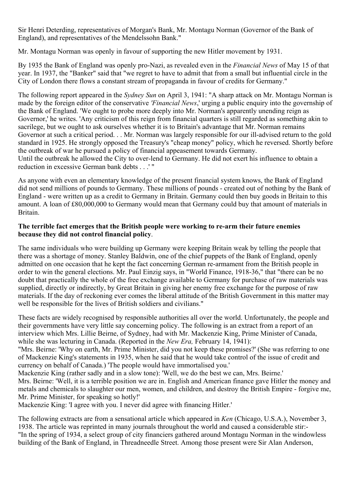Sir Henri Deterding, representatives of Morgan's Bank, Mr. Montagu Norman (Governor of the Bank of England), and representatives of the Mendelssohn Bank."

Mr. Montagu Norman was openly in favour of supporting the new Hitler movement by 1931.

By 1935 the Bank of England was openly pro-Nazi, as revealed even in the *Financial News* of May 15 of that year. In 1937, the "Banker" said that "we regret to have to admit that from a small but influential circle in the City of London there flows a constant stream of propaganda in favour of credits for Germany."

The following report appeared in the *Sydney Sun* on April 3, 1941: "A sharp attack on Mr. Montagu Norman is made by the foreign editor of the conservative *'Financial News*,' urging a public enquiry into the governship of the Bank of England. 'We ought to probe more deeply into Mr. Norman's apparently unending reign as Governor,' he writes. 'Any criticism of this reign from financial quarters is still regarded as something akin to sacrilege, but we ought to ask ourselves whether it is to Britain's advantage that Mr. Norman remains Governor at such a critical period. . . Mr. Norman was largely responsible for our ill-advised return to the gold standard in 1925. He strongly opposed the Treasury's "cheap money" policy, which he reversed. Shortly before the outbreak of war he pursued a policy of financial appeasement towards Germany. Until the outbreak he allowed the City to over-lend to Germany. He did not exert his influence to obtain a

reduction in excessive German bank debts . . .' " As anyone with even an elementary knowledge of the present financial system knows, the Bank of England

did not send millions of pounds to Germany. These millions of pounds - created out of nothing by the Bank of England - were written up as a credit to Germany in Britain. Germany could then buy goods in Britain to this amount. A loan of £80,000,000 to Germany would mean that Germany could buy that amount of materials in Britain.

#### **The terrible fact emerges that the British people were working to re-arm their future enemies because they did not control financial policy**.

The same individuals who were building up Germany were keeping Britain weak by telling the people that there was a shortage of money. Stanley Baldwin, one of the chief puppets of the Bank of England, openly admitted on one occasion that he kept the fact concerning German re-armament from the British people in order to win the general elections. Mr. Paul Einzig says, in "World Finance, 1918-36," that "there can be no doubt that practically the whole of the free exchange available to Germany for purchase of raw materials was supplied, directly or indirectly, by Great Britain in giving her enemy free exchange for the purpose of raw materials. If the day of reckoning ever comes the liberal attitude of the British Government in this matter may well be responsible for the lives of British soldiers and civilians."

These facts are widely recognised by responsible authorities all over the world. Unfortunately, the people and their governments have very little say concerning policy. The following is an extract from a report of an interview which Mrs. Lillie Beirne, of Sydney, had with Mr. Mackenzie King, Prime Minister of Canada, while she was lecturing in Canada. (Reported in the *New Era,* February 14, 1941):

"Mrs. Beirne: 'Why on earth, Mr. Prime Minister, did you not keep these promises?' (She was referring to one of Mackenzie King's statements in 1935, when he said that he would take control of the issue of credit and currency on behalf of Canada.) 'The people would have immortalised you.'

Mackenzie King (rather sadly and in a slow tone): 'Well, we do the best we can, Mrs. Beirne.'

Mrs. Beirne: 'Well, it is a terrible position we are in. English and American finance gave Hitler the money and metals and chemicals to slaughter our men, women, and children, and destroy the British Empire - forgive me, Mr. Prime Minister, for speaking so hotly!'

Mackenzie King: 'I agree with you. I never did agree with financing Hitler.'

The following extracts are from a sensational article which appeared in *Ken* (Chicago, U.S.A.), November 3, 1938. The article was reprinted in many journals throughout the world and caused a considerable stir:- "In the spring of 1934, a select group of city financiers gathered around Montagu Norman in the windowless building of the Bank of England, in Threadneedle Street. Among those present were Sir Alan Anderson,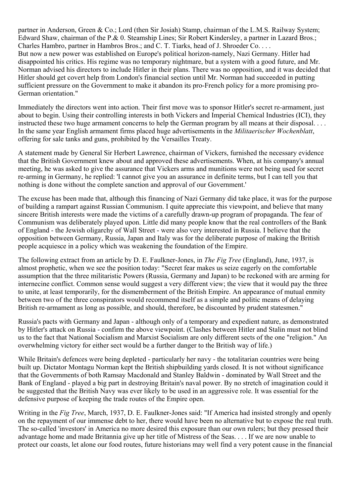partner in Anderson, Green & Co.; Lord (then Sir Josiah) Stamp, chairman of the L.M.S. Railway System; Edward Shaw, chairman of the P.& 0. Steamship Lines; Sir Robert Kindersley, a partner in Lazard Bros.; Charles Hambro, partner in Hambros Bros.; and C. T. Tiarks, head of J. Shroeder Co. . . . But now a new power was established on Europe's political horizon-namely, Nazi Germany. Hitler had disappointed his critics. His regime was no temporary nightmare, but a system with a good future, and Mr. Norman advised his directors to include Hitler in their plans. There was no opposition, and it was decided that Hitler should get covert help from London's financial section until Mr. Norman had succeeded in putting sufficient pressure on the Government to make it abandon its pro-French policy for a more promising pro-German orientation."

Immediately the directors went into action. Their first move was to sponsor Hitler's secret re-armament, just about to begin. Using their controlling interests in both Vickers and Imperial Chemical Industries (ICI), they instructed these two huge armament concerns to help the German program by all means at their disposal. . . . In the same year English armament firms placed huge advertisements in the *Militaerischer Wochenblatt*, offering for sale tanks and guns, prohibited by the Versailles Treaty.

A statement made by General Sir Herbert Lawrence, chairman of Vickers, furnished the necessary evidence that the British Government knew about and approved these advertisements. When, at his company's annual meeting, he was asked to give the assurance that Vickers arms and munitions were not being used for secret re-arming in Germany, he replied: 'I cannot give you an assurance in definite terms, but I can tell you that nothing is done without the complete sanction and approval of our Government.'

The excuse has been made that, although this financing of Nazi Germany did take place, it was for the purpose of building a rampart against Russian Communism. I quite appreciate this viewpoint, and believe that many sincere British interests were made the victims of a carefully drawn-up program of propaganda. The fear of Communism was deliberately played upon. Little did many people know that the real controllers of the Bank of England - the Jewish oligarchy of Wall Street - were also very interested in Russia. I believe that the opposition between Germany, Russia, Japan and Italy was for the deliberate purpose of making the British people acquiesce in a policy which was weakening the foundation of the Empire.

The following extract from an article by D. E. Faulkner-Jones, in *The Fig Tree* (England), June, 1937, is almost prophetic, when we see the position today: "Secret fear makes us seize eagerly on the comfortable assumption that the three militaristic Powers (Russia, Germany and Japan) to be reckoned with are arming for internecine conflict. Common sense would suggest a very different view; the view that it would pay the three to unite, at least temporarily, for the dismemberment of the British Empire. An appearance of mutual enmity between two of the three conspirators would recommend itself as a simple and politic means of delaying British re-armament as long as possible, and should, therefore, be discounted by prudent statesmen."

Russia's pacts with Germany and Japan - although only of a temporary and expedient nature, as demonstrated by Hitler's attack on Russia - confirm the above viewpoint. (Clashes between Hitler and Stalin must not blind us to the fact that National Socialism and Marxist Socialism are only different sects of the one "religion." An overwhelming victory for either sect would be a further danger to the British way of life.)

While Britain's defences were being depleted - particularly her navy - the totalitarian countries were being built up. Dictator Montagu Norman kept the British shipbuilding yards closed. It is not without significance that the Governments of both Ramsay Macdonald and Stanley Baldwin - dominated by Wall Street and the Bank of England - played a big part in destroying Britain's naval power. By no stretch of imagination could it be suggested that the British Navy was ever likely to be used in an aggressive role. It was essential for the defensive purpose of keeping the trade routes of the Empire open.

Writing in the *Fig Tree*, March, 1937, D. E. Faulkner-Jones said: "If America had insisted strongly and openly on the repayment of our immense debt to her, there would have been no alternative but to expose the real truth. The so-called 'investors' in America no more desired this exposure than our own rulers; but they pressed their advantage home and made Britannia give up her title of Mistress of the Seas. . . . If we are now unable to protect our coasts, let alone our food routes, future historians may well find a very potent cause in the financial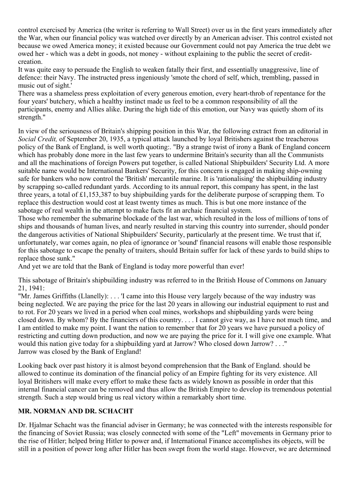control exercised by America (the writer is referring to Wall Street) over us in the first years immediately after the War, when our financial policy was watched over directly by an American adviser. This control existed not because we owed America money; it existed because our Government could not pay America the true debt we owed her - which was a debt in goods, not money - without explaining to the public the secret of creditcreation.

It was quite easy to persuade the English to weaken fatally their first, and essentially unaggressive, line of defence: their Navy. The instructed press ingeniously 'smote the chord of self, which, trembling, passed in music out of sight.'

There was a shameless press exploitation of every generous emotion, every heart-throb of repentance for the four years' butchery, which a healthy instinct made us feel to be a common responsibility of all the participants, enemy and Allies alike. During the high tide of this emotion, our Navy was quietly shorn of its strength."

In view of the seriousness of Britain's shipping position in this War, the following extract from an editorial in *Social Credit,* of September 20, 1935, a typical attack launched by loyal Britishers against the treacherous policy of the Bank of England, is well worth quoting:. "By a strange twist of irony a Bank of England concern which has probably done more in the last few years to undermine Britain's security than all the Communists and all the machinations of foreign Powers put together, is called National Shipbuilders' Security Ltd. A more suitable name would be International Bankers' Security, for this concern is engaged in making ship-owning safe for bankers who now control the 'British' mercantile marine. It is 'rationalising' the shipbuilding industry by scrapping so-called redundant yards. According to its annual report, this company has spent, in the last three years, a total of £1,153,387 to buy shipbuilding yards for the deliberate purpose of scrapping them. To replace this destruction would cost at least twenty times as much. This is but one more instance of the sabotage of real wealth in the attempt to make facts fit an archaic financial system.

Those who remember the submarine blockade of the last war, which resulted in the loss of millions of tons of ships and thousands of human lives, and nearly resulted in starving this country into surrender, should ponder the dangerous activities of National Shipbuilders' Security, particularly at the present time. We trust that if, unfortunately, war comes again, no plea of ignorance or 'sound' financial reasons will enable those responsible for this sabotage to escape the penalty of traiters, should Britain suffer for lack of these yards to build ships to replace those sunk."

And yet we are told that the Bank of England is today more powerful than ever!

This sabotage of Britain's shipbuilding industry was referred to in the British House of Commons on January  $21, 1941$ 

"Mr. James Griffiths (Llanelly): . . . 'I came into this House very largely because of the way industry was being neglected. We are paying the price for the last 20 years in allowing our industrial equipment to rust and to rot. For 20 years we lived in a period when coal mines, workshops and shipbuilding yards were being closed down. By whom? By the financiers of this country. . . . I cannot give way, as I have not much time, and I am entitled to make my point. I want the nation to remember that for 20 years we have pursued a policy of restricting and cutting down production, and now we are paying the price for it. I will give one example. What would this nation give today for a shipbuilding yard at Jarrow? Who closed down Jarrow? . . ." Jarrow was closed by the Bank of England!

Looking back over past history it is almost beyond comprehension that the Bank of England. should be allowed to continue its domination of the financial policy of an Empire fighting for its very existence. All loyal Britishers will make every effort to make these facts as widely known as possible in order that this internal financial cancer can be removed and thus allow the British Empire to develop its tremendous potential strength. Such a step would bring us real victory within a remarkably short time.

#### **MR. NORMAN AND DR. SCHACHT**

Dr. Hjalmar Schacht was the financial adviser in Germany; he was connected with the interests responsible for the financing of Soviet Russia; was closely connected with some of the "Left" movements in Germany prior to the rise of Hitler; helped bring Hitler to power and, if International Finance accomplishes its objects, will be still in a position of power long after Hitler has been swept from the world stage. However, we are determined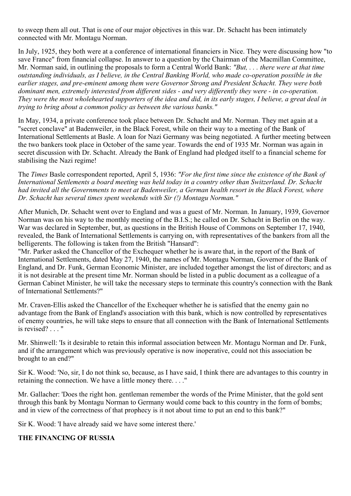to sweep them all out. That is one of our major objectives in this war. Dr. Schacht has been intimately connected with Mr. Montagu Norman.

In July, 1925, they both were at a conference of international financiers in Nice. They were discussing how "to save France" from financial collapse. In answer to a question by the Chairman of the Macmillan Committee, Mr. Norman said, in outlining the proposals to form a Central World Bank: *"But, . . . there were at that time outstanding individuals, as I believe, in the Central Banking World, who made co-operation possible in the earlier stages, and pre-eminent among them were Governor Strong and President Schacht. They were both dominant men, extremely interested from different sides - and very differently they were - in co-operation. They were the most wholehearted supporters of the idea and did, in its early stages, I believe, a great deal in trying to bring about a common policy as between the various banks."* 

In May, 1934, a private conference took place between Dr. Schacht and Mr. Norman. They met again at a "secret conclave" at Badenweiler, in the Black Forest, while on their way to a meeting of the Bank of International Settlements at Basle. A loan for Nazi Germany was being negotiated. A further meeting between the two bankers took place in October of the same year. Towards the end of 1935 Mr. Norman was again in secret discussion with Dr. Schacht. Already the Bank of England had pledged itself to a financial scheme for stabilising the Nazi regime!

The *Times* Basle correspondent reported, April 5, 1936: *"For the first time since the existence of the Bank of International Settlements a board meeting was held today in a country other than Switzerland. Dr. Schacht had invited all the Governments to meet at Badenweiler, a German health resort in the Black Forest, where Dr. Schacht has several times spent weekends with Sir (!) Montagu Norman."* 

After Munich, Dr. Schacht went over to England and was a guest of Mr. Norman. In January, 1939, Governor Norman was on his way to the monthly meeting of the B.I.S.; he called on Dr. Schacht in Berlin on the way. War was declared in September, but, as questions in the British House of Commons on September 17, 1940, revealed, the Bank of International Settlements is carrying on, with representatives of the bankers from all the belligerents. The following is taken from the British "Hansard":

"Mr. Parker asked the Chancellor of the Exchequer whether he is aware that, in the report of the Bank of International Settlements, dated May 27, 1940, the names of Mr. Montagu Norman, Governor of the Bank of England, and Dr. Funk, German Economic Minister, are included together amongst the list of directors; and as it is not desirable at the present time Mr. Norman should be listed in a public document as a colleague of a German Cabinet Minister, he will take the necessary steps to terminate this country's connection with the Bank of International Settlements?"

Mr. Craven-Ellis asked the Chancellor of the Exchequer whether he is satisfied that the enemy gain no advantage from the Bank of England's association with this bank, which is now controlled by representatives of enemy countries, he will take steps to ensure that all connection with the Bank of International Settlements is revised? . . . "

Mr. Shinwell: 'Is it desirable to retain this informal association between Mr. Montagu Norman and Dr. Funk, and if the arrangement which was previously operative is now inoperative, could not this association be brought to an end?"

Sir K. Wood: 'No, sir, I do not think so, because, as I have said, I think there are advantages to this country in retaining the connection. We have a little money there. . . ."

Mr. Gallacher: 'Does the right hon. gentleman remember the words of the Prime Minister, that the gold sent through this bank by Montagu Norman to Germany would come back to this country in the form of bombs; and in view of the correctness of that prophecy is it not about time to put an end to this bank?"

Sir K. Wood: 'I have already said we have some interest there.'

#### **THE FINANCING OF RUSSIA**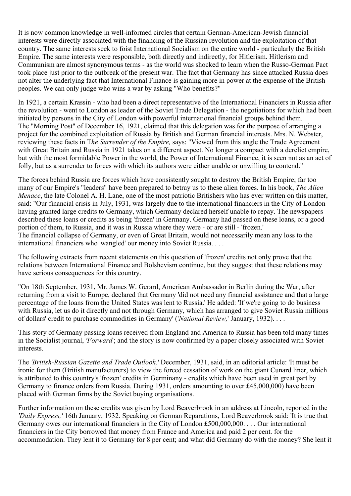It is now common knowledge in well-informed circles that certain German-American-Jewish financial interests were directly associated with the financing of the Russian revolution and the exploitation of that country. The same interests seek to foist International Socialism on the entire world - particularly the British Empire. The same interests were responsible, both directly and indirectly, for Hitlerism. Hitlerism and Communism are almost synonymous terms - as the world was shocked to learn when the Russo-German Pact took place just prior to the outbreak of the present war. The fact that Germany has since attacked Russia does not alter the underlying fact that International Finance is gaining more in power at the expense of the British peoples. We can only judge who wins a war by asking "Who benefits?"

In 1921, a certain Krassin - who had been a direct representative of the International Financiers in Russia after the revolution - went to London as leader of the Soviet Trade Delegation - the negotiations for which had been initiated by persons in the City of London with powerful international financial groups behind them. The "Morning Post" of December 16, 1921, claimed that this delegation was for the purpose of arranging a project for the combined exploitation of Russia by British and German financial interests. Mrs. N. Webster, reviewing these facts in T*he Surrender of the Empire,* says: "Viewed from this angle the Trade Agreement with Great Britain and Russia in 1921 takes on a different aspect. No longer a compact with a derelict empire, but with the most formidable Power in the world, the Power of International Finance, it is seen not as an act of folly, but as a surrender to forces with which its authors were either unable or unwilling to contend."

The forces behind Russia are forces which have consistently sought to destroy the British Empire; far too many of our Empire's "leaders" have been prepared to betray us to these alien forces. In his book, *The Alien Menace*, the late Colonel A. H. Lane, one of the most patriotic Britishers who has ever written on this matter, said: "Our financial crisis in July, 1931, was largely due to the international financiers in the City of London having granted large credits to Germany, which Germany declared herself unable to repay. The newspapers described these loans or credits as being 'frozen' in Germany. Germany had passed on these loans, or a good portion of them, to Russia, and it was in Russia where they were - or are still - 'frozen.' The financial collapse of Germany, or even of Great Britain, would not necessarily mean any loss to the international financiers who 'wangled' our money into Soviet Russia. . . .

The following extracts from recent statements on this question of 'frozen' credits not only prove that the relations between International Finance and Bolshevism continue, but they suggest that these relations may have serious consequences for this country.

"On 18th September, 1931, Mr. James W. Gerard, American Ambassador in Berlin during the War, after returning from a visit to Europe, declared that Germany 'did not need any financial assistance and that a large percentage of the loans from the United States was lent to Russia.' He added: 'If we're going to do business with Russia, let us do it directly and not through Germany, which has arranged to give Soviet Russia millions of dollars' credit to purchase commodities in Germany' ('*National Review,*' January, 1932). . . .

This story of Germany passing loans received from England and America to Russia has been told many times in the Socialist journal, *'Forward*'; and the story is now confirmed by a paper closely associated with Soviet interests.

The *'British-Russian Gazette and Trade Outlook,'* December, 1931, said, in an editorial article: 'It must be ironic for them (British manufacturers) to view the forced cessation of work on the giant Cunard liner, which is attributed to this country's 'frozen' credits in Germinany - credits which have been used in great part by Germany to finance orders from Russia. During 1931, orders amounting to over £45,000,000) have been placed with German firms by the Soviet buying organisations.

Further information on these credits was given by Lord Beaverbrook in an address at Lincoln, reported in the *'Daily Express,'* 16th January, 1932. Speaking on German Reparations, Lord Beaverbrook said: 'It is true that Germany owes our international financiers in the City of London £500,000,000. . . . Our international financiers in the City borrowed that money from France and America and paid 2 per cent. for the accommodation. They lent it to Germany for 8 per cent; and what did Germany do with the money? She lent it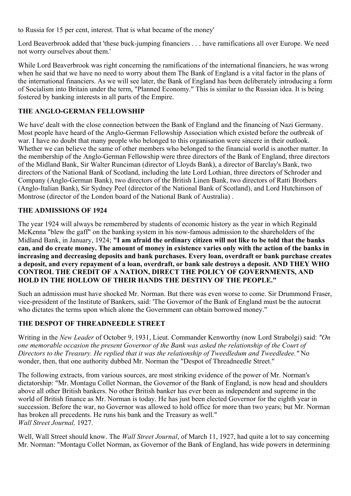to Russia for 15 per cent, interest. That is what became of the money'

Lord Beaverbrook added that 'these buck-jumping financiers . . . have ramifications all over Europe. We need not worry ourselves about them.'

While Lord Beaverbrook was right concerning the ramifications of the international financiers, he was wrong when he said that we have no need to worry about them The Bank of England is a vital factor in the plans of the international financiers. As we will see later, the Bank of England has been deliberately introducing a form of Socialism into Britain under the term, "Planned Economy." This is similar to the Russian idea. It is being fostered by banking interests in all parts of the Empire.

#### **THE ANGLO-GERMAN FELLOWSHIP**

We have' dealt with the close connection between the Bank of England and the financing of Nazi Germany. Most people have heard of the Anglo-German Fellowship Association which existed before the outbreak of war. I have no doubt that many people who belonged to this organisation were sincere in their outlook. Whether we can believe the same of other members who belonged to the financial world is another matter. In the membership of the Anglo-German Fellowship were three directors of the Bank of England, three directors of the Midland Bank, Sir Walter Runciman (director of Lloyds Bank), a director of Barclay's Bank, two directors of the National Bank of Scotland, including the late Lord Lothian, three directors of Schroder and Company (Anglo-German Bank), two directors of the British Linen Bank, two directors of Ratti Brothers (Anglo-Italian Bank), Sir Sydney Peel (director of the National Bank of Scotland), and Lord Hutchinson of Montrose (director of the London board of the National Bank of Australia) .

#### **THE ADMISSIONS OF 1924**

The year 1924 will always be remembered by students of economic history as the year in which Reginald McKenna "blew the gaff" on the banking system in his now-famous admission to the shareholders of the Midland Bank, in January, 1924; **"I am afraid the ordinary citizen will not like to be told that the banks can, and do create money. The amount of money in existence varies only with the action of the banks in increasing and decreasing deposits and bank purchases. Every loan, overdraft or bank purchase creates a deposit, and every repayment of a loan, overdraft, or bank sale destroys a deposit. AND THEY WHO CONTROL THE CREDIT OF A NATION, DIRECT THE POLICY OF GOVERNMENTS, AND HOLD IN THE HOLLOW OF THEIR HANDS THE DESTINY OF THE PEOPLE."**

Such an admission must have shocked Mr. Norman. But there was even worse to come. Sir Drummond Fraser, vice-president of the Institute of Bankers, said: 'The Governor of the Bank of England must be the autocrat who dictates the terms upon which alone the Government can obtain borrowed money."

#### **THE DESPOT OF THREADNEEDLE STREET**

Writing in the *New Leader* of October 9, 1931, Lieut. Commander Kenworthy (now Lord Strabolgi) said: *"On one memorable occasion the present Governor of the Bank was asked the relationship of the Court of Directors to the Treasury. He replied that it was the relationship of Tweedledum and Tweedledee."* No wonder, then, that one authority dubbed Mr. Norman the "Despot of Threadneedle Street."

The following extracts, from various sources, are most striking evidence of the power of Mr. Norman's dictatorship: "Mr. Montagu Collet Norman, the Governor of the Bank of England, is now head and shoulders above all other British bankers. No other British banker has ever been as independent and supreme in the world of British finance as Mr. Norman is today. He has just been elected Governor for the eighth year in succession. Before the war, no Governor was allowed to hold office for more than two years; but Mr. Norman has broken all precedents. He runs his bank and the Treasury as well." *Wall Street Journal,* 1927.

Well, Wall Street should know. The *Wall Street Journal*, of March 11, 1927, had quite a lot to say concerning Mr. Norman: "Montagu Collet Norman, as Governor of the Bank of England, has wide powers in determining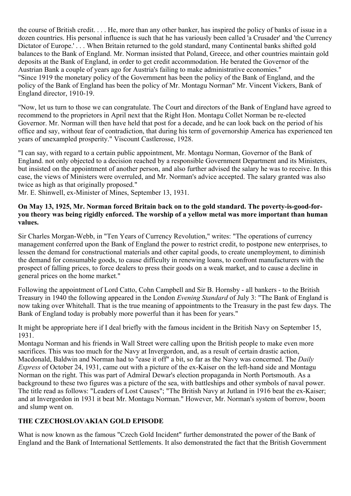the course of British credit. . . . He, more than any other banker, has inspired the policy of banks of issue in a dozen countries. His personal influence is such that he has variously been called 'a Crusader' and 'the Currency Dictator of Europe.'... When Britain returned to the gold standard, many Continental banks shifted gold balances to the Bank of England. Mr. Norman insisted that Poland, Greece, and other countries maintain gold deposits at the Bank of England, in order to get credit accommodation. He berated the Governor of the Austrian Bank a couple of years ago for Austria's failing to make administrative economies." "Since 1919 the monetary policy of the Government has been the policy of the Bank of England, and the policy of the Bank of England has been the policy of Mr. Montagu Norman" Mr. Vincent Vickers, Bank of England director, 1910-19.

"Now, let us turn to those we can congratulate. The Court and directors of the Bank of England have agreed to recommend to the proprietors in April next that the Right Hon. Montagu Collet Norman be re-elected Governor. Mr. Norman will then have held that post for a decade, and he can look back on the period of his office and say, without fear of contradiction, that during his term of governorship America has experienced ten years of unexampled prosperity." Viscount Castlerosse, 1928.

"I can say, with regard to a certain public appointment, Mr. Montagu Norman, Governor of the Bank of England. not only objected to a decision reached by a responsible Government Department and its Ministers, but insisted on the appointment of another person, and also further advised the salary he was to receive. In this case, the views of Ministers were overruled, and Mr. Norman's advice accepted. The salary granted was also twice as high as that originally proposed."

Mr. E. Shinwell, ex-Minister of Mines, September 13, 1931.

#### **On May 13, 1925, Mr. Norman forced Britain back on to the gold standard. The poverty-is-good-foryou theory was being rigidly enforced. The worship of a yellow metal was more important than human values.**

Sir Charles Morgan-Webb, in "Ten Years of Currency Revolution," writes: "The operations of currency management conferred upon the Bank of England the power to restrict credit, to postpone new enterprises, to lessen the demand for constructional materials and other capital goods, to create unemployment, to diminish the demand for consumable goods, to cause difficulty in renewing loans, to confront manufacturers with the prospect of falling prices, to force dealers to press their goods on a weak market, and to cause a decline in general prices on the home market."

Following the appointment of Lord Catto, Cohn Campbell and Sir B. Hornsby - all bankers - to the British Treasury in 1940 the following appeared in the London *Evening Standard* of July 3: "The Bank of England is now taking over Whitehall. That is the true meaning of appointments to the Treasury in the past few days. The Bank of England today is probably more powerful than it has been for years."

It might be appropriate here if I deal briefly with the famous incident in the British Navy on September 15, 1931.

Montagu Norman and his friends in Wall Street were calling upon the British people to make even more sacrifices. This was too much for the Navy at Invergordon, and, as a result of certain drastic action, Macdonald, Baldwin and Norman had to "ease it off" a bit, so far as the Navy was concerned. The *Daily Express* of October 24, 1931, came out with a picture of the ex-Kaiser on the left-hand side and Montagu Norman on the right. This was part of Admiral Dewar's election propaganda in North Portsmouth. As a background to these two figures was a picture of the sea, with battleships and other symbols of naval power. The title read as follows: "Leaders of Lost Causes"; "The British Navy at Jutland in 1916 beat the ex-Kaiser; and at Invergordon in 1931 it beat Mr. Montagu Norman." However, Mr. Norman's system of borrow, boom and slump went on.

#### **THE CZECHOSLOVAKIAN GOLD EPISODE**

What is now known as the famous "Czech Gold Incident" further demonstrated the power of the Bank of England and the Bank of International Settlements. It also demonstrated the fact that the British Government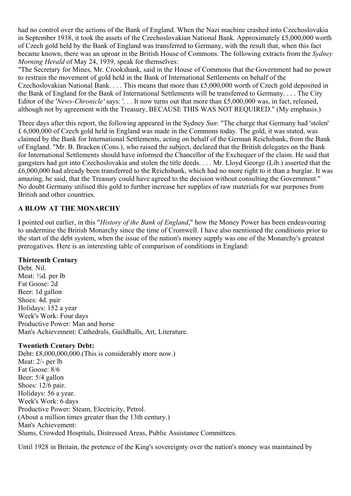had no control over the actions of the Bank of England. When the Nazi machine crashed into Czechoslovakia in September 1938, it took the assets of the Czechoslovakian National Bank. Approximately £5,000,000 worth of Czech gold held by the Bank of England was transferred to Germany, with the result that, when this fact became known, there was an uproar in the British House of Commons. The following extracts from the *Sydney Morning Herald* of May 24, 1939, speak for themselves:

"The Secretary for Mines, Mr. Crookshank, said in the House of Commons that the Government had no power to restrain the movement of gold held in the Bank of International Settlements on behalf of the Czechoslovakian National Bank. . . . This means that more than £5,000,000 worth of Czech gold deposited in the Bank of England for the Bank of International Settlements will be transferred to Germany. . . . The City Editor of the '*News-Chronicle'* says: '. . . It now turns out that more than £5,000,000 was, in fact, released, although not by agreement with the Treasury, BECAUSE THIS WAS NOT REQUIRED." (My emphasis.)

Three days after this report, the following appeared in the Sydney *Sun*: "The charge that Germany had 'stolen' £ 6,000,000 of Czech gold held in England was made in the Commons today. The gold, it was stated, was claimed by the Bank for International Settlements, acting on behalf of the German Reichsbank, from the Bank of England. "Mr. B. Bracken (Cons.), who raised the subject, declared that the British delegates on the Bank for International Settlements should have informed the Chancellor of the Exchequer of the claim. He said that gangsters had got into Czechoslovakia and stolen the title deeds. . . . Mr. Lloyd George (Lib.) asserted that the £6,000,000 had already been transferred to the Reichsbank, which had no more right to it than a burglar. It was amazing, he said, that the Treasury could have agreed to the decision without consulting the Government." No doubt Germany utilised this gold to further increase her supplies of raw materials for war purposes from British and other countries.

#### **A BLOW AT THE MONARCHY**

I pointed out earlier, in this "*History of the Bank of England*," how the Money Power has been endeavouring to undermine the British Monarchy since the time of Cromwell. I have also mentioned the conditions prior to the start of the debt system, when the issue of the nation's money supply was one of the Monarchy's greatest prerogatives. Here is an interesting table of comparison of conditions in England:

#### **Thirteenth Century**

Debt. Nil. Meat: ½d. per lb Fat Goose: 2d Beer: 1d gallon Shoes: 4d. pair Holidays: 152 a year Week's Work: Four days Productive Power: Man and horse Man's Achievement: Cathedrals, Guildhalls, Art, Literature.

#### **Twentieth Century Debt:**

Debt: £8,000,000,000.(This is considerably more now.) Meat: 2/- per lb Fat Goose: 8/6 Beer: 5/4 gallon Shoes: 12/6 pair. Holidays: 56 a year. Week's Work: 6 days Productive Power: Steam, Electricity, Petrol. (About a million times greater than the 13th century.) Man's Achievement: Slums, Crowded Hospitals, Distressed Areas, Public Assistance Committees.

Until 1928 in Britain, the pretence of the King's sovereignty over the nation's money was maintained by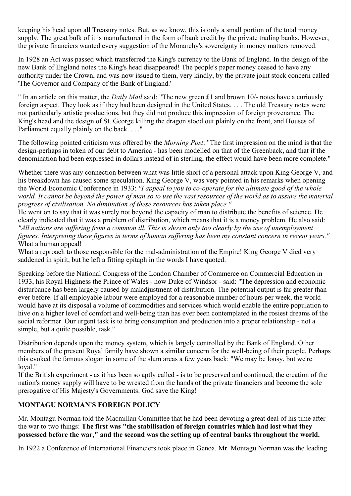keeping his head upon all Treasury notes. But, as we know, this is only a small portion of the total money supply. The great bulk of it is manufactured in the form of bank credit by the private trading banks. However, the private financiers wanted every suggestion of the Monarchy's sovereignty in money matters removed.

In 1928 an Act was passed which transferred the King's currency to the Bank of England. In the design of the new Bank of England notes the King's head disappeared! The people's paper money ceased to have any authority under the Crown, and was now issued to them, very kindly, by the private joint stock concern called 'The Governor and Company of the Bank of England.'

" In an article on this matter, the *Daily Mail* said: "The new green £1 and brown 10/- notes have a curiously foreign aspect. They look as if they had been designed in the United States. . . . The old Treasury notes were not particularly artistic productions, but they did not produce this impression of foreign provenance. The King's head and the design of St. George killing the dragon stood out plainly on the front, and Houses of Parliament equally plainly on the back. . . . "

The following pointed criticism was offered by the *Morning Post*: "The first impression on the mind is that the design-perhaps in token of our debt to America - has been modelled on that of the Greenback, and that if the denomination had been expressed in dollars instead of in sterling, the effect would have been more complete."

Whether there was any connection between what was little short of a personal attack upon King George V, and his breakdown has caused some speculation. King George V, was very pointed in his remarks when opening the World Economic Conference in 1933: *"I appeal to you to co-operate for the ultimate good of the whole world. It cannot be beyond the power of man so to use the vast resources of the world as to assure the material progress of civilisation. No diminution of these resources has taken place."*

He went on to say that it was surely not beyond the capacity of man to distribute the benefits of science. He clearly indicated that it was a problem of distribution, which means that it is a money problem. He also said: *"All nations are suffering from a common ill. This is shown only too clearly by the use of unemployment figures. Interpreting these figures in terms of human suffering has been my constant concern in recent years."* What a human appeal!

What a reproach to those responsible for the mal-administration of the Empire! King George V died very saddened in spirit, but he left a fitting epitaph in the words I have quoted.

Speaking before the National Congress of the London Chamber of Commerce on Commercial Education in 1933, his Royal Highness the Prince of Wales - now Duke of Windsor - said: "The depression and economic disturbance has been largely caused by maladjustment of distribution. The potential output is far greater than ever before. If all employable labour were employed for a reasonable number of hours per week, the world would have at its disposal a volume of commodities and services which would enable the entire population to hive on a higher level of comfort and well-being than has ever been contemplated in the rosiest dreams of the social reformer. Our urgent task is to bring consumption and production into a proper relationship - not a simple, but a quite possible, task."

Distribution depends upon the money system, which is largely controlled by the Bank of England. Other members of the present Royal family have shown a similar concern for the well-being of their people. Perhaps this evoked the famous slogan in some of the slum areas a few years back: "We may be lousy, but we're loyal."

If the British experiment - as it has been so aptly called - is to be preserved and continued, the creation of the nation's money supply will have to be wrested from the hands of the private financiers and become the sole prerogative of His Majesty's Governments. God save the King!

#### **MONTAGU NORMAN'S FOREIGN POLICY**

Mr. Montagu Norman told the Macmillan Committee that he had been devoting a great deal of his time after the war to two things: **The first was "the stabilisation of foreign countries which had lost what they possessed before the war," and the second was the setting up of central banks throughout the world.**

In 1922 a Conference of International Financiers took place in Genoa. Mr. Montagu Norman was the leading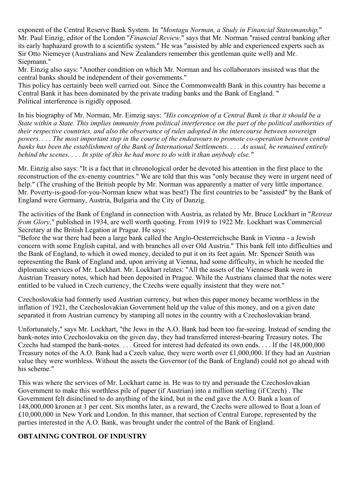exponent of the Central Reserve Bank System. In *"Montagu Norman, a Study in Financial Statesmanship,*" Mr. Paul Einzig, editor of the London "*Financial Review,*" says that Mr. Norman "raised central banking after its early haphazard growth to a scientific system." He was "assisted by able and experienced experts such as Sir Otto Niemeyer (Australians and New Zealanders remember this gentleman quite well) and Mr. Siepmann."

Mr. Einzig also says: "Another condition on which Mr. Norman and his collaborators insisted was that the central banks should be independent of their governments."

This policy has certainly been well carried out. Since the Commonwealth Bank in this country has become a Central Bank it has been dominated by the private trading banks and the Bank of England. " Political interference is rigidly opposed.

In his biography of Mr. Norman, Mr. Eimzig says: *"His conception of a Central Bank is that it should be a State within a State. This implies immunity from political interference on the part of the political authorities of their respective countries, and also the observance of rules adopted in the intercourse between sovereign powers. . . . The most important step in the course of the endeavours to promote co-operation between central banks has been the establishment of the Bank of International Settlements. . . . As usual, he remained entirely behind the scenes. . . . In spite of this he had more to do with it than anybody else."*

Mr. Einzig also says: "It is a fact that in chronological order he devoted his attention in the first place to the reconstruction of the ex-enemy countries." We are told that this was "only because they were in urgent need of help." (The crushing of the British people by Mr. Norman was apparently a matter of very little importance. Mr. Poverty-is-good-for-you-Norman knew what was best!) The first countries to be "assisted" by the Bank of England were Germany, Austria, Bulgaria and the City of Danzig.

The activities of the Bank of England in connection with Austria, as related by Mr. Bruce Lockhart in "*Retreat from Glory,*" published in 1934, are well worth quoting. From 1919 to 1922 Mr. Lockhart was Commercial Secretary at the British Legation at Prague. He says:

"Before the war there had been a large bank called the Anglo-Oesterreichsche Bank in Vienna - a Jewish concern with some English capital, and with branches all over Old Austria." This bank fell into difficulties and the Bank of England, to which it owed money, decided to put it on its feet again. Mr. Spencer Smith was representing the Bank of England and, upon arriving at Vienna, had some difficulty, in which he needed the diplomatic services of Mr. Lockhart. Mr. Lockhart relates: "All the assets of the Viennese Bank were in Austrian Treasury notes, which had been deposited in Prague. While the Austrians claimed that the notes were entitled to be valued in Czech currency, the Czechs were equally insistent that they were not."

Czechoslovakia had formerly used Austrian currency, but when this paper money became worthless in the inflation of 1921, the Czechoslovakian Government held up the value of this money, and on a given date separated it from Austrian currency by stamping all notes in the country with a Czechoslovakian brand.

Unfortunately," says Mr. Lockhart, "the Jews in the A.O. Bank had been too far-seeing. Instead of sending the bank-notes into Czechoslovakia on the given day, they had transferred interest-bearing Treasury notes. The Czechs had stamped the bank-notes. . . . Greed for interest had defeated its own ends. . . . If the 148,000,000 Treasury notes of the A.O. Bank had a Czech value, they were worth over £1,000,000. If they had an Austrian value they were worthless. Without the assets the Governor (of the Bank of England) could not go ahead with his scheme."

This was where the services of Mr. Lockhart came in. He was to try and persuade the Czechoslovakian Government to make this worthless pile of paper (if Austrian) into a million sterling (if Czech) . The Government felt disinclined to do anything of the kind, but in the end gave the A.O. Bank a loan of 148,000,000 kronen at 1 per cent. Six months later, as a reward, the Czechs were allowed to float a loan of £10,000,000 in New York and London. In this manner, that section of Central Europe, represented by the parties interested in the A.O. Bank, was brought under the control of the Bank of England.

#### **OBTAINING CONTROL OF INDUSTRY**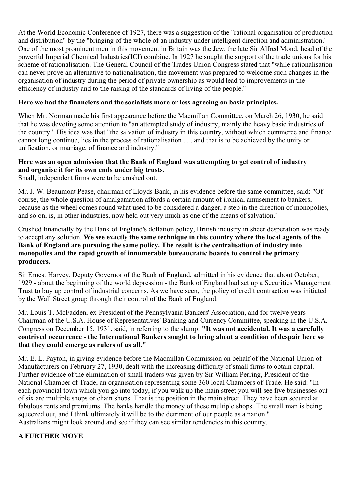At the World Economic Conference of 1927, there was a suggestion of the "rational organisation of production and distribution" by the "bringing of the whole of an industry under intelligent direction and administration." One of the most prominent men in this movement in Britain was the Jew, the late Sir Alfred Mond, head of the powerful Imperial Chemical Industries(ICI) combine. In 1927 he sought the support of the trade unions for his scheme of rationalisation. The General Council of the Trades Union Congress stated that "while rationalisation can never prove an alternative to nationalisation, the movement was prepared to welcome such changes in the organisation of industry during the period of private ownership as would lead to improvements in the efficiency of industry and to the raising of the standards of living of the people."

#### **Here we had the financiers and the socialists more or less agreeing on basic principles.**

When Mr. Norman made his first appearance before the Macmillan Committee, on March 26, 1930, he said that he was devoting some attention to "an attempted study of industry, mainly the heavy basic industries of the country." His idea was that "the salvation of industry in this country, without which commerce and finance cannot long continue, lies in the process of rationalisation . . . and that is to be achieved by the unity or unification, or marriage, of finance and industry."

#### **Here was an open admission that the Bank of England was attempting to get control of industry and organise it for its own ends under big trusts.**

Small, independent firms were to be crushed out.

Mr. J. W. Beaumont Pease, chairman of Lloyds Bank, in his evidence before the same committee, said: "Of course, the whole question of amalgamation affords a certain amount of ironical amusement to bankers, because as the wheel comes round what used to be considered a danger, a step in the direction of monopolies, and so on, is, in other industries, now held out very much as one of the means of salvation."

Crushed financially by the Bank of England's deflation policy, British industry in sheer desperation was ready to accept any solution. **We see exactly the same technique in this country where the local agents of the Bank of England are pursuing the same policy. The result is the centralisation of industry into monopolies and the rapid growth of innumerable bureaucratic boards to control the primary producers.**

Sir Ernest Harvey, Deputy Governor of the Bank of England, admitted in his evidence that about October, 1929 - about the beginning of the world depression - the Bank of England had set up a Securities Management Trust to buy up control of industrial concerns. As we have seen, the policy of credit contraction was initiated by the Wall Street group through their control of the Bank of England.

Mr. Louis T. McFadden, ex-President of the Pennsylvania Bankers' Association, and for twelve years Chairman of the U.S.A. House of Representatives' Banking and Currency Committee, speaking in the U.S.A. Congress on December 15, 1931, said, in referring to the slump: **"It was not accidental. It was a carefully contrived occurrence - the International Bankers sought to bring about a condition of despair here so that they could emerge as rulers of us all."**

Mr. E. L. Payton, in giving evidence before the Macmillan Commission on behalf of the National Union of Manufacturers on February 27, 1930, dealt with the increasing difficulty of small firms to obtain capital. Further evidence of the elimination of small traders was given by Sir William Perring, President of the National Chamber of Trade, an organisation representing some 360 local Chambers of Trade. He said: "In each provincial town which you go into today, if you walk up the main street you will see five businesses out of six are multiple shops or chain shops. That is the position in the main street. They have been secured at fabulous rents and premiums. The banks handle the money of these multiple shops. The small man is being squeezed out, and I think ultimately it will be to the detriment of our people as a nation." Australians might look around and see if they can see similar tendencies in this country.

#### **A FURTHER MOVE**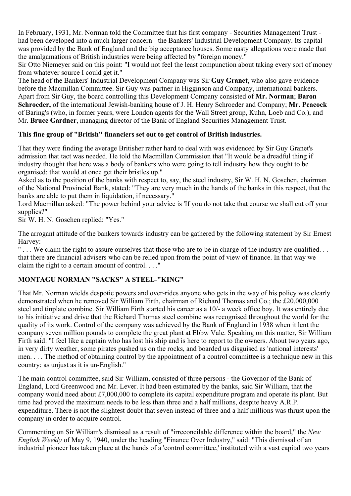In February, 1931, Mr. Norman told the Committee that his first company - Securities Management Trust had been developed into a much larger concern - the Bankers' Industrial Development Company. Its capital was provided by the Bank of England and the big acceptance houses. Some nasty allegations were made that the amalgamations of British industries were being affected by "foreign money."

Sir Otto Niemeyer said on this point: "I would not feel the least compunction about taking every sort of money from whatever source I could get it."

The head of the Bankers' Industrial Development Company was Sir **Guy Granet**, who also gave evidence before the Macmillan Committee. Sir Guy was partner in Higginson and Company, international bankers. Apart from Sir Guy, the board controlling this Development Company consisted of **Mr. Norman**; **Baron Schroeder,** of the international Jewish-banking house of J. H. Henry Schroeder and Company; **Mr. Peacock** of Baring's (who, in former years, were London agents for the Wall Street group, Kuhn, Loeb and Co.), and Mr. **Bruce Gardner**, managing director of the Bank of England Securities Management Trust.

#### **This fine group of "British" financiers set out to get control of British industries.**

That they were finding the average Britisher rather hard to deal with was evidenced by Sir Guy Granet's admission that tact was needed. He told the Macmillan Commission that "It would be a dreadful thing if industry thought that here was a body of bankers who were going to tell industry how they ought to be organised: that would at once get their bristles up."

Asked as to the position of the banks with respect to, say, the steel industry, Sir W. H. N. Goschen, chairman of the National Provincial Bank, stated: "They are very much in the hands of the banks in this respect, that the banks are able to put them in liquidation, if necessary."

Lord Macmillan asked: "The power behind your advice is 'If you do not take that course we shall cut off your supplies?"

Sir W. H. N. Goschen replied: "Yes."

The arrogant attitude of the bankers towards industry can be gathered by the following statement by Sir Ernest Harvey:

" . . . We claim the right to assure ourselves that those who are to be in charge of the industry are qualified. . . that there are financial advisers who can be relied upon from the point of view of finance. In that way we claim the right to a certain amount of control. . . ."

#### **MONTAGU NORMAN "SACKS" A STEEL-"KING"**

That Mr. Norman wields despotic powers and over-rides anyone who gets in the way of his policy was clearly demonstrated when he removed Sir William Firth, chairman of Richard Thomas and Co.; the £20,000,000 steel and tinplate combine. Sir William Firth started his career as a 10/- a week office boy. It was entirely due to his initiative and drive that the Richard Thomas steel combine was recognised throughout the world for the quality of its work. Control of the company was achieved by the Bank of England in 1938 when it lent the company seven million pounds to complete the great plant at Ebbw Vale. Speaking on this matter, Sir William Firth said: "I feel like a captain who has lost his ship and is here to report to the owners. About two years ago, in very dirty weather, some pirates pushed us on the rocks, and boarded us disguised as 'national interests' men. . . . The method of obtaining control by the appointment of a control committee is a technique new in this country; as unjust as it is un-English."

The main control committee, said Sir William, consisted of three persons - the Governor of the Bank of England, Lord Greenwood and Mr. Lever. It had been estimated by the banks, said Sir William, that the company would need about £7,000,000 to complete its capital expenditure program and operate its plant. But time had proved the maximum needs to be less than three and a half millions, despite heavy A.R.P. expenditure. There is not the slightest doubt that seven instead of three and a half millions was thrust upon the company in order to acquire control.

Commenting on Sir William's dismissal as a result of "irreconcilable difference within the board," the *New English Weekly* of May 9, 1940, under the heading "Finance Over Industry," said: "This dismissal of an industrial pioneer has taken place at the hands of a 'control committee,' instituted with a vast capital two years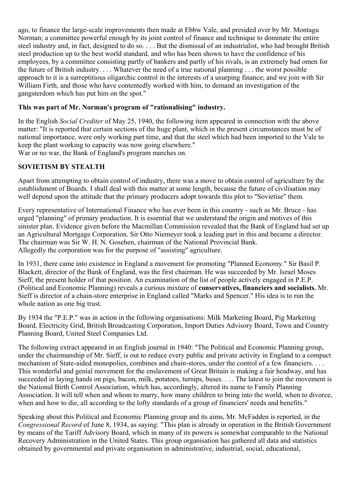ago, to finance the large-scale improvements then made at Ebbw Vale, and presided over by Mr. Montagu Norman; a committee powerful enough by its joint control of finance and technique to dominate the entire steel industry and, in fact, designed to do so. . . . But the dismissal of an industrialist, who had brought British steel production up to the best world standard, and who has been shown to have the confidence of his employees, by a committee consisting partly of bankers and partly of his rivals, is an extremely bad omen for the future of British industry. . . . Whatever the need of a true national planning . . . the worst possible approach to it is a surreptitious oligarchic control in the interests of a usurping finance; and we join with Sir William Firth, and those who have contentedly worked with him, to demand an investigation of the gangsterdom which has put him on the spot."

#### **This was part of Mr. Norman's program of "rationalising" industry.**

In the English *Social Crediter* of May 25, 1940, the following item appeared in connection with the above matter: "It is reported that certain sections of the huge plant, which in the present circumstances must be of national importance, were only working part time, and that the steel which had been imported to the Vale to keep the plant working to capacity was now going elsewhere."

War or no war, the Bank of England's program marches on.

#### **SOVIETISM BY STEALTH**

Apart from attempting to obtain control of industry, there was a move to obtain control of agriculture by the establishment of Boards. I shall deal with this matter at some length, because the future of civilisation may well depend upon the attitude that the primary producers adopt towards this plot to "Sovietise" them.

Every representative of International Finance who has ever been in this country - such as Mr. Bruce - has urged "planning" of primary production. It is essential that we understand the origin and motives of this sinister plan. Evidence given before the Macmillan Commission revealed that the Bank of England had set up an Agricultural Mortgage Corporation. Sir Otto Niemeyer took a leading part in this and became a director. The chairman was Sir W. H. N. Gosehen, chairman of the National Provincial Bank. Allegedly the corporation was for the purpose of "assisting" agriculture.

In 1931, there came into existence in England a movement for promoting "Planned Economy." Sir Basil P. Blackett, director of the Bank of England, was the first chairman. He was succeeded by Mr. Israel Moses Sieff, the present holder of that position. An examination of the list of people actively engaged in P.E.P. (Political and Economic Planning) reveals a curious mixture of **conservatives, financiers and socialists.** Mr. Sieff is director of a chain-store enterprise in England called "Marks and Spencer." His idea is to run the whole nation as one big trust.

By 1934 the "P.E.P." was in action in the following organisations: Milk Marketing Board, Pig Marketing Board, Electricity Grid, British Broadcasting Corporation, Import Duties Advisory Board, Town and Country Planning Board, United Steel Companies Ltd.

The following extract appeared in an English journal in 1940: "The Political and Economic Planning group, under the chairmanship of Mr. Sieff, is out to reduce every public and private activity in England to a compact mechanism of State-aided monopolies, combines and chain-stores, under the control of a few financiers. . . . This wonderful and genial movement for the enslavement of Great Britain is making a fair headway, and has succeeded in laying hands on pigs, bacon, milk, potatoes, turnips, buses. . . . The latest to join the movement is the National Birth Control Association, which has, accordingly, altered its name to Family Planning Association. It will tell when and whom to marry, how many children to bring into the world, when to divorce, when and how to die, all according to the lofty standards of a group of financiers' needs and benefits."

Speaking about this Political and Economic Planning group and its aims, Mr. McFadden is reported, in the *Congressional Record* of June 8, 1934, as saying: "This plan is already in operation in the British Government by means of the Tariff Advisory Board, which in many of its powers is somewhat comparable to the National Recovery Administration in the United States. This group organisation has gathered all data and statistics obtained by governmental and private organisation in administrative, industrial, social, educational,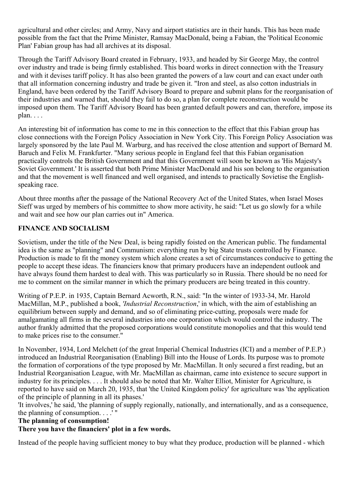agricultural and other circles; and Army, Navy and airport statistics are in their hands. This has been made possible from the fact that the Prime Minister, Ramsay MacDonald, being a Fabian, the 'Political Economic Plan' Fabian group has had all archives at its disposal.

Through the Tariff Advisory Board created in February, 1933, and headed by Sir George May, the control over industry and trade is being firmly established. This board works in direct connection with the Treasury and with it devises tariff policy. It has also been granted the powers of a law court and can exact under oath that all information concerning industry and trade be given it. "Iron and steel, as also cotton industrials in England, have been ordered by the Tariff Advisory Board to prepare and submit plans for the reorganisation of their industries and warned that, should they fail to do so, a plan for complete reconstruction would be imposed upon them. The Tariff Advisory Board has been granted default powers and can, therefore, impose its plan. . . .

An interesting bit of information has come to me in this connection to the effect that this Fabian group has close connections with the Foreign Policy Association in New York City. This Foreign Policy Association was largely sponsored by the late Paul M. Warburg, and has received the close attention and support of Bernard M. Baruch and Felix M. Frankfurter. "Many serious people in England feel that this Fabian organisation practically controls the British Government and that this Government will soon be known as 'His Majesty's Soviet Government.' It is asserted that both Prime Minister MacDonald and his son belong to the organisation and that the movement is well financed and well organised, and intends to practically Sovietise the Englishspeaking race.

About three months after the passage of the National Recovery Act of the United States, when Israel Moses Sieff was urged by members of his committee to show more activity, he said: "Let us go slowly for a while and wait and see how our plan carries out in" America.

#### **FINANCE AND SOCIALISM**

Sovietism, under the title of the New Deal, is being rapidly foisted on the American public. The fundamental idea is the same as "planning" and Communism: everything run by big State trusts controlled by Finance. Production is made to fit the money system which alone creates a set of circumstances conducive to getting the people to accept these ideas. The financiers know that primary producers have an independent outlook and have always found them hardest to deal with. This was particularly so in Russia. There should be no need for me to comment on the similar manner in which the primary producers are being treated in this country.

Writing of P.E.P. in 1935, Captain Bernard Acworth, R.N., said: "In the winter of 1933-34, Mr. Harold MacMillan, M.P., published a book, *'Industrial Reconstruction*,' in which, with the aim of establishing an equilibrium between supply and demand, and so of eliminating price-cutting, proposals were made for amalgamating all firms in the several industries into one corporation which would control the industry. The author frankly admitted that the proposed corporations would constitute monopolies and that this would tend to make prices rise to the consumer."

In November, 1934, Lord Melchett (of the great Imperial Chemical Industries (ICI) and a member of P.E.P.) introduced an Industrial Reorganisation (Enabling) Bill into the House of Lords. Its purpose was to promote the formation of corporations of the type proposed by Mr. MacMillan. It only secured a first reading, but an Industrial Reorganisation League, with Mr. MacMillan as chairman, came into existence to secure support in industry for its principles. . . . It should also be noted that Mr. Walter Elliot, Minister for Agriculture, is reported to have said on March 20, 1935, that 'the United Kingdom policy' for agriculture was 'the application of the principle of planning in all its phases.'

'It involves,' he said, 'the planning of supply regionally, nationally, and internationally, and as a consequence, the planning of consumption. . . .' "

#### **The planning of consumption!**

#### **There you have the financiers' plot in a few words.**

Instead of the people having sufficient money to buy what they produce, production will be planned - which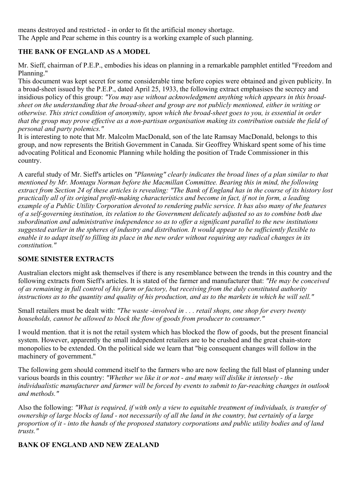means destroyed and restricted - in order to fit the artificial money shortage. The Apple and Pear scheme in this country is a working example of such planning.

#### **THE BANK OF ENGLAND AS A MODEL**

Mr. Sieff, chairman of P.E.P., embodies his ideas on planning in a remarkable pamphlet entitled "Freedom and Planning."

This document was kept secret for some considerable time before copies were obtained and given publicity. In a broad-sheet issued by the P.E.P., dated April 25, 1933, the following extract emphasises the secrecy and insidious policy of this group: *"You may use without acknowledgment anything which appears in this broadsheet on the understanding that the broad-sheet and group are not publicly mentioned, either in writing or otherwise. This strict condition of anonymity, upon which the broad-sheet goes to you, is essential in order that the group may prove effective as a non-partisan organisation making its contribution outside the field of personal and party polemics."*

It is interesting to note that Mr. Malcolm MacDonald, son of the late Ramsay MacDonald, belongs to this group, and now represents the British Government in Canada. Sir Geoffrey Whiskard spent some of his time advocating Political and Economic Planning while holding the position of Trade Commissioner in this country.

A careful study of Mr. Sieff's articles on *"Planning" clearly indicates the broad lines of a plan similar to that mentioned by Mr. Montagu Norman before the Macmillan Committee. Bearing this in mind, the following extract from Section 24 of these articles is revealing: "The Bank of England has in the course of its history lost practically all of its original profit-making characteristics and become in fact, if not in form, a leading example of a Public Utility Corporation devoted to rendering public service. It has also many of the features of a self-governing institution, its relation to the Government delicately adjusted so as to combine both due subordination and administrative independence so as to offer a significant parallel to the new institutions suggested earlier in the spheres of industry and distribution. It would appear to be sufficiently flexible to enable it to adapt itself to filling its place in the new order without requiring any radical changes in its constitution."* 

#### **SOME SINISTER EXTRACTS**

Australian electors might ask themselves if there is any resemblance between the trends in this country and the following extracts from Sieff's articles. It is stated of the farmer and manufacturer that: *"He may be conceived of as remaining in full control of his farm or factory, but receiving from the duly constituted authority instructions as to the quantity and quality of his production, and as to the markets in which he will sell."*

Small retailers must be dealt with: *"The waste -involved in . . . retail shops, one shop for every twenty households, cannot be allowed to block the flow of goods from producer to consumer."*

I would mention. that it is not the retail system which has blocked the flow of goods, but the present financial system. However, apparently the small independent retailers are to be crushed and the great chain-store monopolies to be extended. On the political side we learn that "big consequent changes will follow in the machinery of government."

The following gem should commend itself to the farmers who are now feeling the full blast of planning under various boards in this country: *"Whether we like it or not - and many will dislike it intensely - the individualistic manufacturer and farmer will be forced by events to submit to far-reaching changes in outlook and methods."*

Also the following: *"What is required, if with only a view to equitable treatment of individuals, is transfer of ownership of large blocks of land - not necessarily of all the land in the country, but certainly of a large proportion of it - into the hands of the proposed statutory corporations and public utility bodies and of land trusts."* 

#### **BANK OF ENGLAND AND NEW ZEALAND**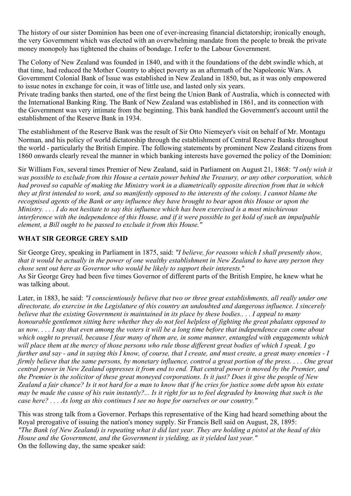The history of our sister Dominion has been one of ever-increasing financial dictatorship; ironically enough, the very Government which was elected with an overwhelming mandate from the people to break the private money monopoly has tightened the chains of bondage. I refer to the Labour Government.

The Colony of New Zealand was founded in 1840, and with it the foundations of the debt swindle which, at that time, had reduced the Mother Country to abject poverty as an aftermath of the Napoleonic Wars. A Government Colonial Bank of Issue was established in New Zealand in 1850, but, as it was only empowered to issue notes in exchange for coin, it was of little use, and lasted only six years.

Private trading banks then started, one of the first being the Union Bank of Australia, which is connected with the International Banking Ring. The Bank of New Zealand was established in 1861, and its connection with the Government was very intimate from the beginning. This bank handled the Government's account until the establishment of the Reserve Bank in 1934.

The establishment of the Reserve Bank was the result of Sir Otto Niemeyer's visit on behalf of Mr. Montagu Norman, and his policy of world dictatorship through the establishment of Central Reserve Banks throughout the world - particularly the British Empire. The following statements by prominent New Zealand citizens from 1860 onwards clearly reveal the manner in which banking interests have governed the policy of the Dominion:

Sir William Fox, several times Premier of New Zealand, said in Parliament on August 21, 1868: *"I only wish it was possible to exclude from this House a certain power behind the Treasury, or any other corporation, which had proved so capable of making the Ministry work in a diametrically opposite direction from that in which they at first intended to work, and so manifestly opposed to the interests of the colony. I cannot blame the recognised agents of the Bank or any influence they have brought to bear upon this House or upon the Ministry. . . . I do not hesitate to say this influence which has been exercised is a most mischievous interference with the independence of this House, and if it were possible to get hold of such an impalpable element, a Bill ought to be passed to exclude it from this House."*

#### **WHAT SIR GEORGE GREY SAID**

Sir George Grey, speaking in Parliament in 1875, said: *"I believe, for reasons which I shall presently show, that it would be actually in the power of one wealthy establishment in New Zealand to have any person they chose sent out here as Governor who would be likely to support their interests.*" As Sir George Grey had been five times Governor of different parts of the British Empire, he knew what he was talking about.

Later, in 1883, he said: *"I conscientiously believe that two or three great establishments, all really under one directorate, do exercise in the Legislature of this country an undoubted and dangerous influence. I sincerely believe that the existing Government is maintained in its place by these bodies.. . . I appeal to many honourable gentlemen sitting here whether they do not feel helpless of fighting the great phalanx opposed to us now. . . . I say that even among the voters it will be a long time before that independence can come about which ought to prevail, because I fear many of them are, in some manner, entangled with engagements which will place them at the mercy of those persons who rule those different great bodies of which I speak. I go further and say - and in saying this I know, of course, that I create, and must create, a great many enemies - I firmly believe that the same persons, by monetary influence, control a great portion of the press. . . . One great central power in New Zealand oppresses it from end to end. That central power is moved by the Premier, and the Premier is the solicitor of these great moneyed corporations. Is it just? Does it give the people of New Zealand a fair chance? Is it not hard for a man to know that if he cries for justice some debt upon his estate may be made the cause of his ruin instantly?... Is it right for us to feel degraded by knowing that such is the case here? . . . As long as this continues I see no hope for ourselves or our country."* 

This was strong talk from a Governor. Perhaps this representative of the King had heard something about the Royal prerogative of issuing the nation's money supply. Sir Francis Bell said on August, 28, 1895: *"The Bank (of New Zealand) is repeating what it did last year. They are holding a pistol at the head of this House and the Government, and the Government is yielding, as it yielded last year."* On the following day, the same speaker said: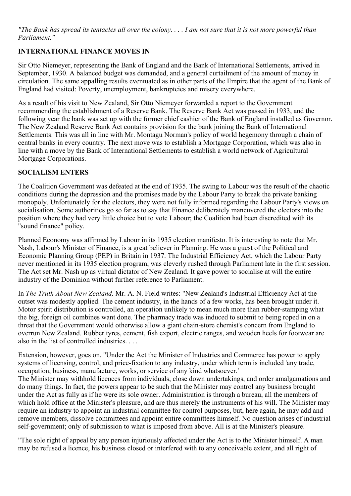*"The Bank has spread its tentacles all over the colony. . . . I am not sure that it is not more powerful than Parliament."* 

#### **INTERNATIONAL FINANCE MOVES IN**

Sir Otto Niemeyer, representing the Bank of England and the Bank of International Settlements, arrived in September, 1930. A balanced budget was demanded, and a general curtailment of the amount of money in circulation. The same appalling results eventuated as in other parts of the Empire that the agent of the Bank of England had visited: Poverty, unemployment, bankruptcies and misery everywhere.

As a result of his visit to New Zealand, Sir Otto Niemeyer forwarded a report to the Government recommending the establishment of a Reserve Bank. The Reserve Bank Act was passed in 1933, and the following year the bank was set up with the former chief cashier of the Bank of England installed as Governor. The New Zealand Reserve Bank Act contains provision for the bank joining the Bank of International Settlements. This was all in line with Mr. Montagu Norman's policy of world hegemony through a chain of central banks in every country. The next move was to establish a Mortgage Corporation, which was also in line with a move by the Bank of International Settlements to establish a world network of Agricultural Mortgage Corporations.

#### **SOCIALISM ENTERS**

The Coalition Government was defeated at the end of 1935. The swing to Labour was the result of the chaotic conditions during the depression and the promises made by the Labour Party to break the private banking monopoly. Unfortunately for the electors, they were not fully informed regarding the Labour Party's views on socialisation. Some authorities go so far as to say that Finance deliberately maneuvered the electors into the position where they had very little choice but to vote Labour; the Coalition had been discredited with its "sound finance" policy.

Planned Economy was affirmed by Labour in its 1935 election manifesto. It is interesting to note that Mr. Nash, Labour's Minister of Finance, is a great believer in Planning. He was a guest of the Political and Economic Planning Group (PEP) in Britain in 1937. The Industrial Efficiency Act, which the Labour Party never mentioned in its 1935 election program, was cleverly rushed through Parliament late in the first session. The Act set Mr. Nash up as virtual dictator of New Zealand. It gave power to socialise at will the entire industry of the Dominion without further reference to Parliament.

In *The Truth About New Zealand,* Mr. A. N. Field writes: "New Zealand's Industrial Efficiency Act at the outset was modestly applied. The cement industry, in the hands of a few works, has been brought under it. Motor spirit distribution is controlled, an operation unlikely to mean much more than rubber-stamping what the big, foreign oil combines want done. The pharmacy trade was induced to submit to being roped in on a threat that the Government would otherwise allow a giant chain-store chemist's concern from England to overrun New Zealand. Rubber tyres, cement, fish export, electric ranges, and wooden heels for footwear are also in the list of controlled industries. . . .

Extension, however, goes on. "Under the Act the Minister of Industries and Commerce has power to apply systems of licensing, control, and price-fixation to any industry, under which term is included 'any trade, occupation, business, manufacture, works, or service of any kind whatsoever.'

The Minister may withhold licences from individuals, close down undertakings, and order amalgamations and do many things. In fact, the powers appear to be such that the Minister may control any business brought under the Act as fully as if he were its sole owner. Administration is through a bureau, all the members of which hold office at the Minister's pleasure, and are thus merely the instruments of his will. The Minister may require an industry to appoint an industrial committee for control purposes, but, here again, he may add and remove members, dissolve committees and appoint entire committees himself. No question arises of industrial self-government; only of submission to what is imposed from above. All is at the Minister's pleasure.

"The sole right of appeal by any person injuriously affected under the Act is to the Minister himself. A man may be refused a licence, his business closed or interfered with to any conceivable extent, and all right of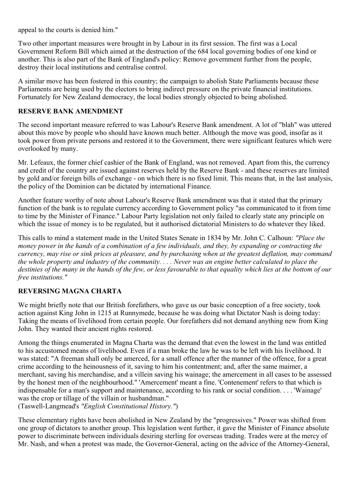appeal to the courts is denied him."

Two other important measures were brought in by Labour in its first session. The first was a Local Government Reform Bill which aimed at the destruction of the 684 local governing bodies of one kind or another. This is also part of the Bank of England's policy: Remove government further from the people, destroy their local institutions and centralise control.

A similar move has been fostered in this country; the campaign to abolish State Parliaments because these Parliaments are being used by the electors to bring indirect pressure on the private financial institutions. Fortunately for New Zealand democracy, the local bodies strongly objected to being abolished.

#### **RESERVE BANK AMENDMENT**

The second important measure referred to was Labour's Reserve Bank amendment. A lot of "blah" was uttered about this move by people who should have known much better. Although the move was good, insofar as it took power from private persons and restored it to the Government, there were significant features which were overlooked by many.

Mr. Lefeaux, the former chief cashier of the Bank of England, was not removed. Apart from this, the currency and credit of the country are issued against reserves held by the Reserve Bank - and these reserves are limited by gold and/or foreign bills of exchange - on which there is no fixed limit. This means that, in the last analysis, the policy of the Dominion can be dictated by international Finance.

Another feature worthy of note about Labour's Reserve Bank amendment was that it stated that the primary function of the bank is to regulate currency according to Government policy "as communicated to it from time to time by the Minister of Finance." Labour Party legislation not only failed to clearly state any principle on which the issue of money is to be regulated, but it authorised dictatorial Ministers to do whatever they liked.

This calls to mind a statement made in the United States Senate in 1834 by Mr. John C. Calhoun: *"Place the money power in the hands of a combination of a few individuals, and they, by expanding or contracting the currency, may rise or sink prices at pleasure, and by purchasing when at the greatest deflation, may command the whole property and industry of the community. . . . Never was an engine better calculated to place the destinies of the many in the hands of the few, or less favourable to that equality which lies at the bottom of our free institutions."* 

#### **REVERSING MAGNA CHARTA**

We might briefly note that our British forefathers, who gave us our basic conception of a free society, took action against King John in 1215 at Runnymede, because he was doing what Dictator Nash is doing today: Taking the means of livelihood from certain people. Our forefathers did not demand anything new from King John. They wanted their ancient rights restored.

Among the things enumerated in Magna Charta was the demand that even the lowest in the land was entitled to his accustomed means of livelihood. Even if a man broke the law he was to be left with his livelihood. It was stated: "A freeman shall only be amerced, for a small offence after the manner of the offence, for a great crime according to the heinousness of it, saving to him his contentment; and, after the same maimer, a merchant, saving his merchandise, and a villein saving his wainage; the amercement in all cases to be assessed by the honest men of the neighbourhood." 'Amercement' meant a fine. 'Contenement' refers to that which is indispensable for a man's support and maintenance, according to his rank or social condition. . . . 'Wainage' was the crop or tillage of the villain or husbandman."

(Taswell-Langmead's *"English Constitutional History."*)

These elementary rights have been abolished in New Zealand by the "progressives." Power was shifted from one group of dictators to another group. This legislation went further, it gave the Minister of Finance absolute power to discriminate between individuals desiring sterling for overseas trading. Trades were at the mercy of Mr. Nash, and when a protest was made, the Governor-General, acting on the advice of the Attorney-General,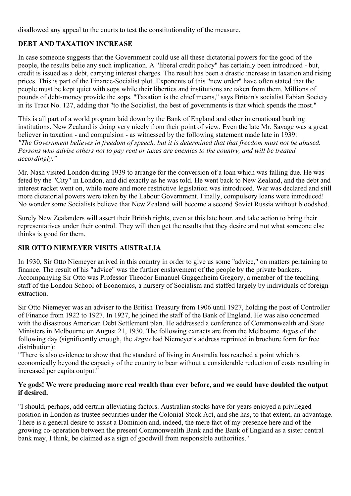disallowed any appeal to the courts to test the constitutionality of the measure.

#### **DEBT AND TAXATION INCREASE**

In case someone suggests that the Government could use all these dictatorial powers for the good of the people, the results belie any such implication. A "liberal credit policy" has certainly been introduced - but, credit is issued as a debt, carrying interest charges. The result has been a drastic increase in taxation and rising prices. This is part of the Finance-Socialist plot. Exponents of this "new order" have often stated that the people must be kept quiet with sops while their liberties and institutions are taken from them. Millions of pounds of debt-money provide the sops. "Taxation is the chief means," says Britain's socialist Fabian Society in its Tract No. 127, adding that "to the Socialist, the best of governments is that which spends the most."

This is all part of a world program laid down by the Bank of England and other international banking institutions. New Zealand is doing very nicely from their point of view. Even the late Mr. Savage was a great believer in taxation - and compulsion - as witnessed by the following statement made late in 1939: *"The Government believes in freedom of speech, but it is determined that that freedom must not be abused. Persons who advise others not to pay rent or taxes are enemies to the country, and will be treated accordingly."*

Mr. Nash visited London during 1939 to arrange for the conversion of a loan which was falling due. He was feted by the "City" in London, and did exactly as he was told. He went back to New Zealand, and the debt and interest racket went on, while more and more restrictive legislation was introduced. War was declared and still more dictatorial powers were taken by the Labour Government. Finally, compulsory loans were introduced! No wonder some Socialists believe that New Zealand will become a second Soviet Russia without bloodshed.

Surely New Zealanders will assert their British rights, even at this late hour, and take action to bring their representatives under their control. They will then get the results that they desire and not what someone else thinks is good for them.

#### **SIR OTTO NIEMEYER VISITS AUSTRALIA**

In 1930, Sir Otto Niemeyer arrived in this country in order to give us some "advice," on matters pertaining to finance. The result of his "advice" was the further enslavement of the people by the private bankers. Accompanying Sir Otto was Professor Theodor Emanuel Guggenheim Gregory, a member of the teaching staff of the London School of Economics, a nursery of Socialism and staffed largely by individuals of foreign extraction.

Sir Otto Niemeyer was an adviser to the British Treasury from 1906 until 1927, holding the post of Controller of Finance from 1922 to 1927. In 1927, he joined the staff of the Bank of England. He was also concerned with the disastrous American Debt Settlement plan. He addressed a conference of Commonwealth and State Ministers in Melbourne on August 21, 1930. The following extracts are from the Melbourne *Argus* of the following day (significantly enough, the *Argus* had Niemeyer's address reprinted in brochure form for free distribution):

"There is also evidence to show that the standard of living in Australia has reached a point which is economically beyond the capacity of the country to bear without a considerable reduction of costs resulting in increased per capita output."

#### **Ye gods! We were producing more real wealth than ever before, and we could have doubled the output if desired.**

"I should, perhaps, add certain alleviating factors. Australian stocks have for years enjoyed a privileged position in London as trustee securities under the Colonial Stock Act, and she has, to that extent, an advantage. There is a general desire to assist a Dominion and, indeed, the mere fact of my presence here and of the growing co-operation between the present Commonwealth Bank and the Bank of England as a sister central bank may, I think, be claimed as a sign of goodwill from responsible authorities."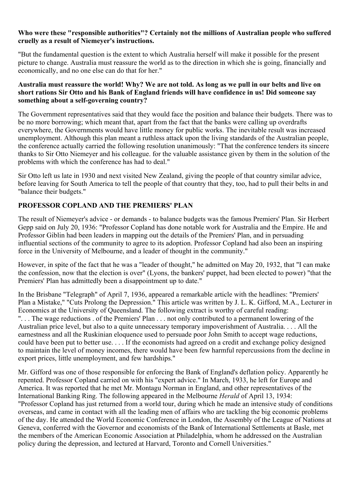#### **Who were these "responsible authorities"? Certainly not the millions of Australian people who suffered cruelly as a result of Niemeyer's instructions.**

"But the fundamental question is the extent to which Australia herself will make it possible for the present picture to change. Australia must reassure the world as to the direction in which she is going, financially and economically, and no one else can do that for her."

#### **Australia must reassure the world! Why? We are not told. As long as we pull in our belts and live on short rations Sir Otto and his Bank of England friends will have confidence in us! Did someone say something about a self-governing country?**

The Government representatives said that they would face the position and balance their budgets. There was to be no more borrowing; which meant that, apart from the fact that the banks were calling up overdrafts everywhere, the Governments would have little money for public works. The inevitable result was increased unemployment. Although this plan meant a ruthless attack upon the living standards of the Australian people, the conference actually carried the following resolution unanimously: "That the conference tenders its sincere thanks to Sir Otto Niemeyer and his colleague. for the valuable assistance given by them in the solution of the problems with which the conference has had to deal."

Sir Otto left us late in 1930 and next visited New Zealand, giving the people of that country similar advice, before leaving for South America to tell the people of that country that they, too, had to pull their belts in and "balance their budgets."

#### **PROFESSOR COPLAND AND THE PREMIERS' PLAN**

The result of Niemeyer's advice - or demands - to balance budgets was the famous Premiers' Plan. Sir Herbert Gepp said on July 20, 1936: "Professor Copland has done notable work for Australia and the Empire. He and Professor Giblin had been leaders in mapping out the details of the Premiers' Plan, and in persuading influential sections of the community to agree to its adoption. Professor Copland had also been an inspiring force in the University of Melbourne, and a leader of thought in the community."

However, in spite of the fact that he was a "leader of thought," he admitted on May 20, 1932, that "I can make the confession, now that the election is over" (Lyons, the bankers' puppet, had been elected to power) "that the Premiers' Plan has admittedly been a disappointment up to date."

In the Brisbane "Telegraph" of April 7, 1936, appeared a remarkable article with the headlines: "Premiers' Plan a Mistake," "Cuts Prolong the Depression." This article was written by J. L. K. Gifford, M.A., Lecturer in Economics at the University of Queensland. The following extract is worthy of careful reading: ". . . The wage reductions . of the Premiers' Plan . . . not only contributed to a permanent lowering of the Australian price level, but also to a quite unnecessary temporary impoverishment of Australia. . . . All the earnestness and all the Ruskinian eloquence used to persuade poor John Smith to accept wage reductions, could have been put to better use. . . . If the economists had agreed on a credit and exchange policy designed to maintain the level of money incomes, there would have been few harmful repercussions from the decline in export prices, little unemployment, and few hardships."

Mr. Gifford was one of those responsible for enforcing the Bank of England's deflation policy. Apparently he repented. Professor Copland carried on with his "expert advice." In March, 1933, he left for Europe and America. It was reported that he met Mr. Montagu Norman in England, and other representatives of the International Banking Ring. The following appeared in the Melbourne *Herald* of April 13, 1934: "Professor Copland has just returned from a world tour, during which he made an intensive study of conditions overseas, and came in contact with all the leading men of affairs who are tackling the big economic problems of the day. He attended the World Economic Conference in London, the Assembly of the League of Nations at Geneva, conferred with the Governor and economists of the Bank of International Settlements at Basle, met the members of the American Economic Association at Philadelphia, whom he addressed on the Australian policy during the depression, and lectured at Harvard, Toronto and Cornell Universities."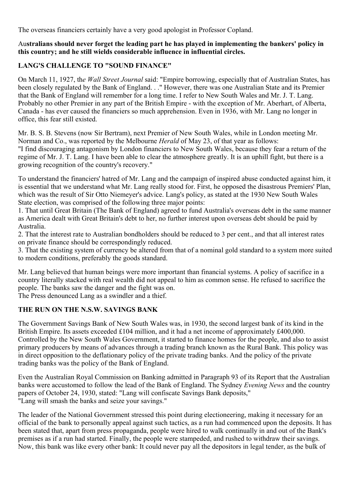The overseas financiers certainly have a very good apologist in Professor Copland.

#### Au**stralians should never forget the leading part he has played in implementing the bankers' policy in this country; and he still wields considerable influence in influential circles.**

#### **LANG'S CHALLENGE TO "SOUND FINANCE"**

On March 11, 1927, th*e Wall Street Journal* said: "Empire borrowing, especially that of Australian States, has been closely regulated by the Bank of England. . ." However, there was one Australian State and its Premier that the Bank of England will remember for a long time. I refer to New South Wales and Mr. J. T. Lang. Probably no other Premier in any part of the British Empire - with the exception of Mr. Aberhart, of Alberta, Canada - has ever caused the financiers so much apprehension. Even in 1936, with Mr. Lang no longer in office, this fear still existed.

Mr. B. S. B. Stevens (now Sir Bertram), next Premier of New South Wales, while in London meeting Mr. Norman and Co., was reported by the Melbourne *Herald* of May 23, of that year as follows: "I find discouraging antagonism by London financiers to New South Wales, because they fear a return of the regime of Mr. J. T. Lang. I have been able to clear the atmosphere greatly. It is an uphill fight, but there is a growing recognition of the country's recovery."

To understand the financiers' hatred of Mr. Lang and the campaign of inspired abuse conducted against him, it is essential that we understand what Mr. Lang really stood for. First, he opposed the disastrous Premiers' Plan, which was the result of Sir Otto Niemeyer's advice. Lang's policy, as stated at the 1930 New South Wales State election, was comprised of the following three major points:

1. That until Great Britain (The Bank of England) agreed to fund Australia's overseas debt in the same manner as America dealt with Great Britain's debt to her, no further interest upon overseas debt should be paid by Australia.

2. That the interest rate to Australian bondholders should be reduced to 3 per cent., and that all interest rates on private finance should be correspondingly reduced.

3. That the existing system of currency be altered from that of a nominal gold standard to a system more suited to modern conditions, preferably the goods standard.

Mr. Lang believed that human beings were more important than financial systems. A policy of sacrifice in a country literally stacked with real wealth did not appeal to him as common sense. He refused to sacrifice the people. The banks saw the danger and the fight was on.

The Press denounced Lang as a swindler and a thief.

#### **THE RUN ON THE N.S.W. SAVINGS BANK**

The Government Savings Bank of New South Wales was, in 1930, the second largest bank of its kind in the British Empire. Its assets exceeded £104 million, and it had a net income of approximately £400,000. Controlled by the New South Wales Government, it started to finance homes for the people, and also to assist primary producers by means of advances through a trading branch known as the Rural Bank. This policy was in direct opposition to the deflationary policy of the private trading banks. And the policy of the private trading banks was the policy of the Bank of England.

Even the Australian Royal Commission on Banking admitted in Paragraph 93 of its Report that the Australian banks were accustomed to follow the lead of the Bank of England. The Sydney *Evening News* and the country papers of October 24, 1930, stated: "Lang will confiscate Savings Bank deposits," "Lang will smash the banks and seize your savings."

The leader of the National Government stressed this point during electioneering, making it necessary for an official of the bank to personally appeal against such tactics, as a run had commenced upon the deposits. It has been stated that, apart from press propaganda, people were hired to walk continually in and out of the Bank's premises as if a run had started. Finally, the people were stampeded, and rushed to withdraw their savings. Now, this bank was like every other bank: It could never pay all the depositors in legal tender, as the bulk of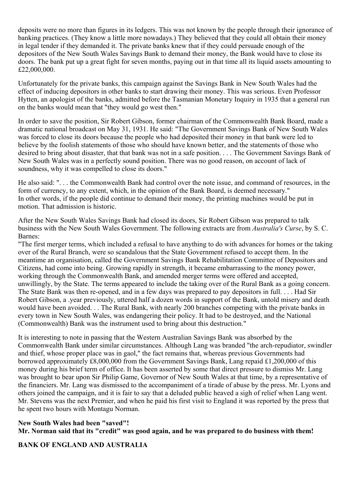deposits were no more than figures in its ledgers. This was not known by the people through their ignorance of banking practices. (They know a little more nowadays.) They believed that they could all obtain their money in legal tender if they demanded it. The private banks knew that if they could persuade enough of the depositors of the New South Wales Savings Bank to demand their money, the Bank would have to close its doors. The bank put up a great fight for seven months, paying out in that time all its liquid assets amounting to £22,000,000.

Unfortunately for the private banks, this campaign against the Savings Bank in New South Wales had the effect of inducing depositors in other banks to start drawing their money. This was serious. Even Professor Hytten, an apologist of the banks, admitted before the Tasmanian Monetary Inquiry in 1935 that a general run on the banks would mean that "they would go west then."

In order to save the position, Sir Robert Gibson, former chairman of the Commonwealth Bank Board, made a dramatic national broadcast on May 31, 1931. He said: "The Government Savings Bank of New South Wales was forced to close its doors because the people who had deposited their money in that bank were led to believe by the foolish statements of those who should have known better, and the statements of those who desired to bring about disaster, that that bank was not in a safe position. . . . The Government Savings Bank of New South Wales was in a perfectly sound position. There was no good reason, on account of lack of soundness, why it was compelled to close its doors."

He also said: ". . . the Commonwealth Bank had control over the note issue, and command of resources, in the form of currency, to any extent, which, in the opinion of the Bank Board, is deemed necessary." In other words, if the people did continue to demand their money, the printing machines would be put in motion. That admission is historic.

After the New South Wales Savings Bank had closed its doors, Sir Robert Gibson was prepared to talk business with the New South Wales Government. The following extracts are from *Australia's Curse*, by S. C. Barnes:

"The first merger terms, which included a refusal to have anything to do with advances for homes or the taking over of the Rural Branch, were so scandalous that the State Government refused to accept them. In the meantime an organisation, called the Government Savings Bank Rehabilitation Committee of Depositors and Citizens, had come into being. Growing rapidly in strength, it became embarrassing to the money power, working through the Commonwealth Bank, and amended merger terms were offered and accepted, unwillingly, by the State. The terms appeared to include the taking over of the Rural Bank as a going concern. The State Bank was then re-opened, and in a few days was prepared to pay depositors in full. . . . Had Sir Robert Gibson, a .year previously, uttered half a dozen words in support of the Bank, untold misery and death would have been avoided. . . The Rural Bank, with nearly 200 branches competing with the private banks in every town in New South Wales, was endangering their policy. It had to be destroyed, and the National (Commonwealth) Bank was the instrument used to bring about this destruction."

It is interesting to note in passing that the Western Australian Savings Bank was absorbed by the Commonwealth Bank under similar circumstances. Although Lang was branded "the arch-repudiator, swindler and thief, whose proper place was in gaol," the fact remains that, whereas previous Governments had borrowed approximately £8,000,000 from the Government Savings Bank, Lang repaid £1,200,000 of this money during his brief term of office. It has been asserted by some that direct pressure to dismiss Mr. Lang was brought to bear upon Sir Philip Game, Governor of New South Wales at that time, by a representative of the financiers. Mr. Lang was dismissed to the accompaniment of a tirade of abuse by the press. Mr. Lyons and others joined the campaign, and it is fair to say that a deluded public heaved a sigh of relief when Lang went. Mr. Stevens was the next Premier, and when he paid his first visit to England it was reported by the press that he spent two hours with Montagu Norman.

#### **New South Wales had been "saved"!**

**Mr. Norman said that its "credit" was good again, and he was prepared to do business with them!**

#### **BANK OF ENGLAND AND AUSTRALIA**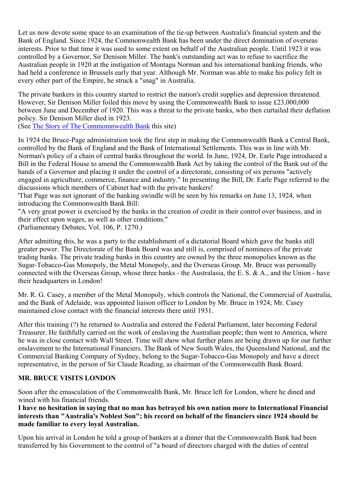Let us now devote some space to an examination of the tie-up between Australia's financial system and the Bank of England. Since 1924, the Commonwealth Bank has been under the direct domination of overseas interests. Prior to that time it was used to some extent on behalf of the Australian people. Until 1923 it was controlled by a Governor, Sir Denison Miller. The bank's outstanding act was to refuse to sacrifice the Australian people in 1920 at the instigation of Montagu Norman and his international banking friends, who had held a conference in Brussels early that year. Although Mr. Norman was able to make his policy felt in every other part of the Empire, he struck a "snag" in Australia.

The private bankers in this country started to restrict the nation's credit supplies and depression threatened. However, Sir Denison Miller foiled this move by using the Commonwealth Bank to issue £23,000,000 between June and December of 1920. This was a threat to the private banks, who then curtailed their deflation policy. Sir Denison Miller died in 1923.

(See The Story of The Commomnwealth Bank this site)

In 1924 the Bruce-Page administration took the first step in making the Commonwealth Bank a Central Bank, controlled by the Bank of England and the Bank of International Settlements. This was in line with Mr. Norman's policy of a chain of central banks throughout the world. In June, 1924, Dr. Earle Page introduced a Bill in the Federal House to amend the Commonwealth Bank Act by taking the control of the Bank out of the hands of a Governor and placing it under the control of a directorate, consisting of six persons "actively engaged in agriculture, commerce, finance and industry." In presenting the Bill, Dr. Earle Page referred to the discussions which members of Cabinet had with the private bankers!

'That Page was not ignorant of the banking swindle will be seen by his remarks on June 13, 1924, when introducing the Commonwealth Bank Bill:

"A very great power is exercised by the banks in the creation of credit in their control over business, and in their effect upon wages, as well as other conditions."

(Parliamentary Debates, Vol. 106, P. 1270.)

After admitting this, he was a party to the establishment of a dictatorial Board which gave the banks still greater power. The Directorate of the Bank Board was and still is, comprised of nominees of the private trading banks. The private trading banks in this country are owned by the three monopolies known as the Sugar-Tobacco-Gas Monopoly, the Metal Monopoly, and the Overseas Group. Mr. Bruce was personally connected with the Overseas Group, whose three banks - the Australasia, the E. S. & A., and the Union - have their headquarters in London!

Mr. R. G. Casey, a member of the Metal Monopoly, which controls the National, the Commercial of Australia, and the Bank of Adelaide, was appointed liaison officer to London by Mr. Bruce in 1924; Mr. Casey maintained close contact with the financial interests there until 1931.

After this training (?) he returned to Australia and entered the Federal Parliament, later becoming Federal Treasurer. He faithfully carried on the work of enslaving the Australian people; then went to America, where he was in close contact with Wall Street. Time will show what further plans are being drawn up for our further enslavement to the International Financiers. The Bank of New South Wales, the Queensland National, and the Commercial Banking Company of Sydney, belong to the Sugar-Tobacco-Gas Monopoly and have a direct representative, in the person of Sir Claude Reading, as chairman of the Commonwealth Bank Board.

#### **MR. BRUCE VISITS LONDON**

Soon after the emasculation of the Commonwealth Bank, Mr. Bruce left for London, where he dined and wined with his financial friends.

**I have no hesitation in saying that no man has betrayed his own nation more to International Financial interests than "Australia's Noblest Son"; his record on behalf of the financiers since 1924 should be made familiar to every loyal Australian.** 

Upon his arrival in London he told a group of bankers at a dinner that the Commonwealth Bank had been transferred by his Government to the control of "a board of directors charged with the duties of central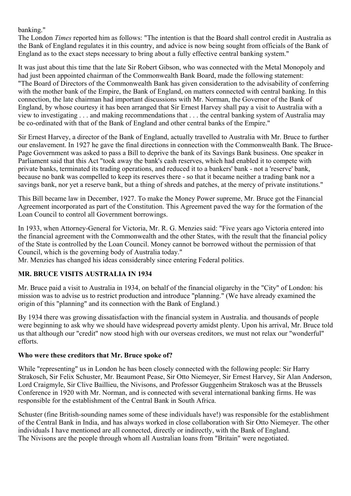#### banking."

The London *Times* reported him as follows: "The intention is that the Board shall control credit in Australia as the Bank of England regulates it in this country, and advice is now being sought from officials of the Bank of England as to the exact steps necessary to bring about a fully effective central banking system."

It was just about this time that the late Sir Robert Gibson, who was connected with the Metal Monopoly and had just been appointed chairman of the Commonwealth Bank Board, made the following statement: "The Board of Directors of the Commonwealth Bank has given consideration to the advisability of conferring with the mother bank of the Empire, the Bank of England, on matters connected with central banking. In this connection, the late chairman had important discussions with Mr. Norman, the Governor of the Bank of England, by whose courtesy it has been arranged that Sir Ernest Harvey shall pay a visit to Australia with a view to investigating . . . and making recommendations that . . . the central banking system of Australia may be co-ordinated with that of the Bank of England and other central banks of the Empire."

Sir Ernest Harvey, a director of the Bank of England, actually travelled to Australia with Mr. Bruce to further our enslavement. In 1927 he gave the final directions in connection with the Commonwealth Bank. The Bruce-Page Government was asked to pass a Bill to deprive the bank of its Savings Bank business. One speaker in Parliament said that this Act "took away the bank's cash reserves, which had enabled it to compete with private banks, terminated its trading operations, and reduced it to a bankers' bank - not a 'reserve' bank, because no bank was compelled to keep its reserves there - so that it became neither a trading bank nor a savings bank, nor yet a reserve bank, but a thing of shreds and patches, at the mercy of private institutions."

This Bill became law in December, 1927. To make the Money Power supreme, Mr. Bruce got the Financial Agreement incorporated as part of the Constitution. This Agreement paved the way for the formation of the Loan Council to control all Government borrowings.

In 1933, when Attorney-General for Victoria, Mr. R. G. Menzies said: "Five years ago Victoria entered into the financial agreement with the Commonwealth and the other States, with the result that the financial policy of the State is controlled by the Loan Council. Money cannot be borrowed without the permission of that Council, which is the governing body of Australia today."

Mr. Menzies has changed his ideas considerably since entering Federal politics.

#### **MR. BRUCE VISITS AUSTRALIA IN 1934**

Mr. Bruce paid a visit to Australia in 1934, on behalf of the financial oligarchy in the "City" of London: his mission was to advise us to restrict production and introduce "planning." (We have already examined the origin of this "planning" and its connection with the Bank of England.)

By 1934 there was growing dissatisfaction with the financial system in Australia. and thousands of people were beginning to ask why we should have widespread poverty amidst plenty. Upon his arrival, Mr. Bruce told us that although our "credit" now stood high with our overseas creditors, we must not relax our "wonderful" efforts.

#### **Who were these creditors that Mr. Bruce spoke of?**

While "representing" us in London he has been closely connected with the following people: Sir Harry Strakosch, Sir Felix Schuster, Mr. Beaumont Pease, Sir Otto Niemeyer, Sir Ernest Harvey, Sir Alan Anderson, Lord Craigmyle, Sir Clive Baillieu, the Nivisons, and Professor Guggenheim Strakosch was at the Brussels Conference in 1920 with Mr. Norman, and is connected with several international banking firms. He was responsible for the establishment of the Central Bank in South Africa.

Schuster (fine British-sounding names some of these individuals have!) was responsible for the establishment of the Central Bank in India, and has always worked in close collaboration with Sir Otto Niemeyer. The other individuals I have mentioned are all connected, directly or indirectly, with the Bank of England. The Nivisons are the people through whom all Australian loans from "Britain" were negotiated.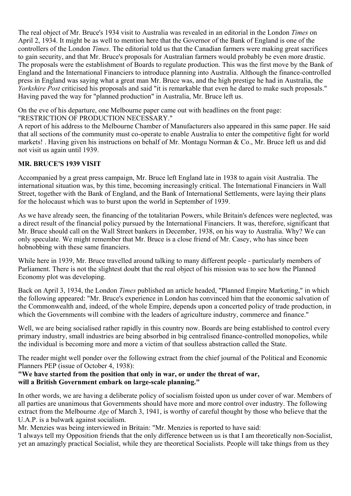The real object of Mr. Bruce's 1934 visit to Australia was revealed in an editorial in the London *Times* on April 2, 1934. It might be as well to mention here that the Governor of the Bank of England is one of the controllers of the London *Times*. The editorial told us that the Canadian farmers were making great sacrifices to gain security, and that Mr. Bruce's proposals for Australian farmers would probably be even more drastic. The proposals were the establishment of Boards to regulate production. This was the first move by the Bank of England and the International Financiers to introduce planning into Australia. Although the finance-controlled press in England was saying what a great man Mr. Bruce was, and the high prestige he had in Australia, the *Yorkshire Post* criticised his proposals and said "it is remarkable that even he dared to make such proposals." Having paved the way for "planned production" in Australia, Mr. Bruce left us.

On the eve of his departure, one Melbourne paper came out with headlines on the front page: "RESTRICTION OF PRODUCTION NECESSARY."

A report of his address to the Melbourne Chamber of Manufacturers also appeared in this same paper. He said that all sections of the community must co-operate to enable Australia to enter the competitive fight for world markets! . Having given his instructions on behalf of Mr. Montagu Norman & Co., Mr. Bruce left us and did not visit us again until 1939.

#### **MR. BRUCE'S 1939 VISIT**

Accompanied by a great press campaign, Mr. Bruce left England late in 1938 to again visit Australia. The international situation was, by this time, becoming increasingly critical. The International Financiers in Wall Street, together with the Bank of England, and the Bank of International Settlements, were laying their plans for the holocaust which was to burst upon the world in September of 1939.

As we have already seen, the financing of the totalitarian Powers, while Britain's defences were neglected, was a direct result of the financial policy pursued by the International Financiers. It was, therefore, significant that Mr. Bruce should call on the Wall Street bankers in December, 1938, on his way to Australia. Why? We can only speculate. We might remember that Mr. Bruce is a close friend of Mr. Casey, who has since been hobnobbing with these same financiers.

While here in 1939, Mr. Bruce travelled around talking to many different people - particularly members of Parliament. There is not the slightest doubt that the real object of his mission was to see how the Planned Economy plot was developing.

Back on April 3, 1934, the London *Times* published an article headed, "Planned Empire Marketing," in which the following appeared: "Mr. Bruce's experience in London has convinced him that the economic salvation of the Commonwealth and, indeed, of the whole Empire, depends upon a concerted policy of trade production, in which the Governments will combine with the leaders of agriculture industry, commerce and finance."

Well, we are being socialised rather rapidly in this country now. Boards are being established to control every primary industry, small industries are being absorbed in big centralised finance-controlled monopolies, while the individual is becoming more and more a victim of that soulless abstraction called the State.

The reader might well ponder over the following extract from the chief journal of the Political and Economic Planners PEP (issue of October 4, 1938):

#### **"We have started from the position that only in war, or under the threat of war, will a British Government embark on large-scale planning."**

In other words, we are having a deliberate policy of socialism foisted upon us under cover of war. Members of all parties are unanimous that Governments should have more and more control over industry. The following extract from the Melbourne *Age* of March 3, 1941, is worthy of careful thought by those who believe that the U.A.P. is a bulwark against socialism.

Mr. Menzies was being interviewed in Britain: "Mr. Menzies is reported to have said:

'I always tell my Opposition friends that the only difference between us is that I am theoretically non-Socialist, yet an amazingly practical Socialist, while they are theoretical Socialists. People will take things from us they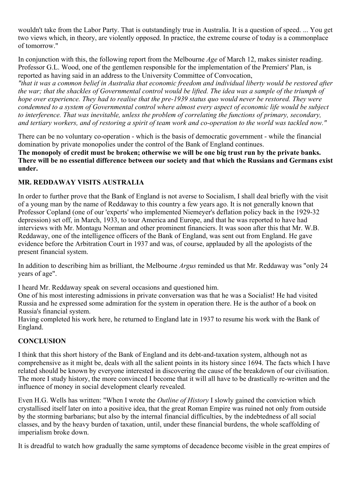wouldn't take from the Labor Party. That is outstandingly true in Australia. It is a question of speed. ... You get two views which, in theory, are violently opposed. In practice, the extreme course of today is a commonplace of tomorrow."

In conjunction with this, the following report from the Melbourne *Age* of March 12, makes sinister reading. Professor G.L. Wood, one of the gentlemen responsible for the implementation of the Premiers' Plan, is reported as having said in an address to the University Committee of Convocation,

*"that it was a common belief in Australia that economic freedom and individual liberty would be restored after the war; that the shackles of Governmental control would be lifted. The idea was a sample of the triumph of hope over experience. They had to realise that the pre-1939 status quo would never be restored. They were condemned to a system of Governmental control where almost every aspect of economic life would be subject to interference. That was inevitable, unless the problem of correlating the functions of primary, secondary, and tertiary workers, and of restoring a spirit of team work and co-operation to the world was tackled now."* 

There can be no voluntary co-operation - which is the basis of democratic government - while the financial domination by private monopolies under the control of the Bank of England continues.

**The monopoly of credit must be broken; otherwise we will be one big trust run by the private banks. There will be no essential difference between our society and that which the Russians and Germans exist under.** 

#### **MR. REDDAWAY VISITS AUSTRALIA**

In order to further prove that the Bank of England is not averse to Socialism, I shall deal briefly with the visit of a young man by the name of Reddaway to this country a few years ago. It is not generally known that Professor Copland (one of our 'experts' who implemented Niemeyer's deflation policy back in the 1929-32 depression) set off, in March, 1933, to tour America and Europe, and that he was reported to have had interviews with Mr. Montagu Norman and other prominent financiers. It was soon after this that Mr. W.B. Reddaway, one of the intelligence officers of the Bank of England, was sent out from England. He gave evidence before the Arbitration Court in 1937 and was, of course, applauded by all the apologists of the present financial system.

In addition to describing him as brilliant, the Melbourne *Argus* reminded us that Mr. Reddaway was "only 24 years of age".

I heard Mr. Reddaway speak on several occasions and questioned him.

One of his most interesting admissions in private conversation was that he was a Socialist! He had visited Russia and he expressed some admiration for the system in operation there. He is the author of a book on Russia's financial system.

Having completed his work here, he returned to England late in 1937 to resume his work with the Bank of England.

#### **CONCLUSION**

I think that this short history of the Bank of England and its debt-and-taxation system, although not as comprehensive as it might be, deals with all the salient points in its history since 1694. The facts which I have related should be known by everyone interested in discovering the cause of the breakdown of our civilisation. The more I study history, the more convinced I become that it will all have to be drastically re-written and the influence of money in social development clearly revealed.

Even H.G. Wells has written: "When I wrote the *Outline of History* I slowly gained the conviction which crystallised itself later on into a positive idea, that the great Roman Empire was ruined not only from outside by the storming barbarians; but also by the internal financial difficulties, by the indebtedness of all social classes, and by the heavy burden of taxation, until, under these financial burdens, the whole scaffolding of imperialism broke down.

It is dreadful to watch how gradually the same symptoms of decadence become visible in the great empires of